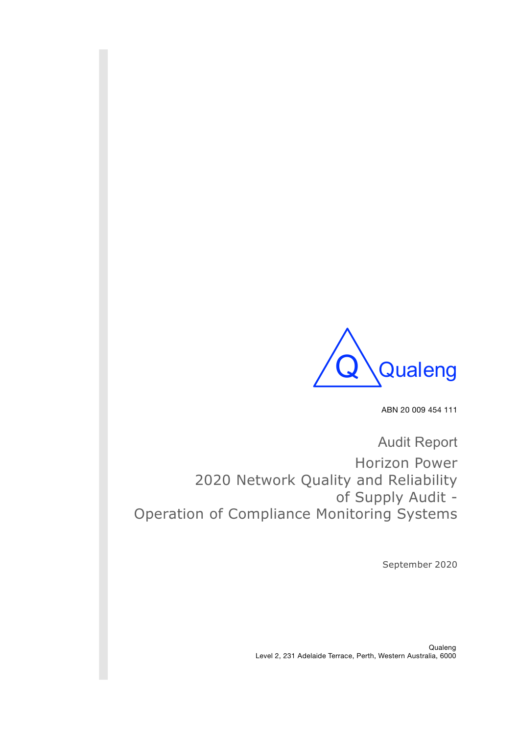

ABN 20 009 454 111

Audit Report Horizon Power 2020 Network Quality and Reliability of Supply Audit - Operation of Compliance Monitoring Systems

September 2020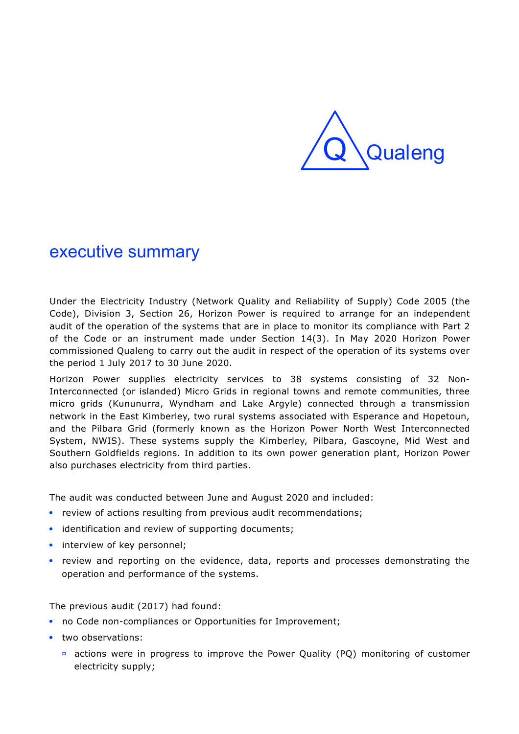

# executive summary

Under the Electricity Industry (Network Quality and Reliability of Supply) Code 2005 (the Code), Division 3, Section 26, Horizon Power is required to arrange for an independent audit of the operation of the systems that are in place to monitor its compliance with Part 2 of the Code or an instrument made under Section 14(3). In May 2020 Horizon Power commissioned Qualeng to carry out the audit in respect of the operation of its systems over the period 1 July 2017 to 30 June 2020.

Horizon Power supplies electricity services to 38 systems consisting of 32 Non-Interconnected (or islanded) Micro Grids in regional towns and remote communities, three micro grids (Kununurra, Wyndham and Lake Argyle) connected through a transmission network in the East Kimberley, two rural systems associated with Esperance and Hopetoun, and the Pilbara Grid (formerly known as the Horizon Power North West Interconnected System, NWIS). These systems supply the Kimberley, Pilbara, Gascoyne, Mid West and Southern Goldfields regions. In addition to its own power generation plant, Horizon Power also purchases electricity from third parties.

The audit was conducted between June and August 2020 and included:

- review of actions resulting from previous audit recommendations;
- identification and review of supporting documents;
- interview of key personnel;
- review and reporting on the evidence, data, reports and processes demonstrating the operation and performance of the systems.

The previous audit (2017) had found:

- no Code non-compliances or Opportunities for Improvement;
- two observations:
	- **▫** actions were in progress to improve the Power Quality (PQ) monitoring of customer electricity supply;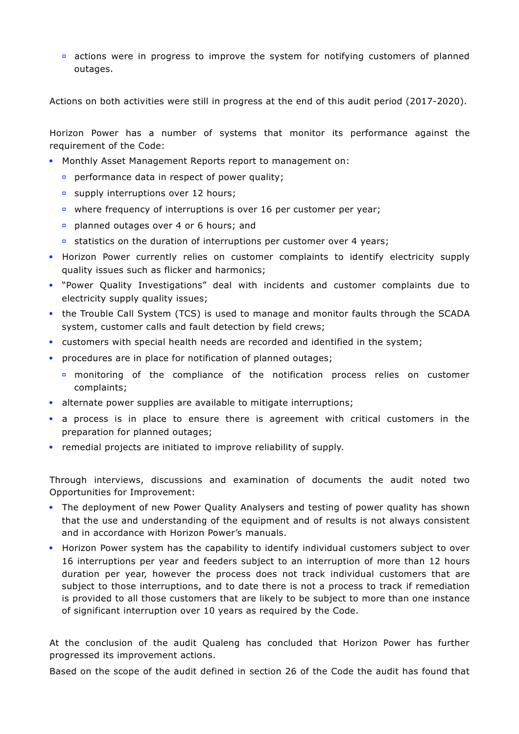**▫** actions were in progress to improve the system for notifying customers of planned outages.

Actions on both activities were still in progress at the end of this audit period (2017-2020).

Horizon Power has a number of systems that monitor its performance against the requirement of the Code:

- Monthly Asset Management Reports report to management on:
	- **▫** performance data in respect of power quality;
	- **▫** supply interruptions over 12 hours;
	- **▫** where frequency of interruptions is over 16 per customer per year;
	- **▫** planned outages over 4 or 6 hours; and
	- **▫** statistics on the duration of interruptions per customer over 4 years;
- Horizon Power currently relies on customer complaints to identify electricity supply quality issues such as flicker and harmonics;
- "Power Quality Investigations" deal with incidents and customer complaints due to electricity supply quality issues;
- the Trouble Call System (TCS) is used to manage and monitor faults through the SCADA system, customer calls and fault detection by field crews;
- customers with special health needs are recorded and identified in the system;
- procedures are in place for notification of planned outages;
	- **▫** monitoring of the compliance of the notification process relies on customer complaints;
- alternate power supplies are available to mitigate interruptions;
- a process is in place to ensure there is agreement with critical customers in the preparation for planned outages;
- remedial projects are initiated to improve reliability of supply.

Through interviews, discussions and examination of documents the audit noted two Opportunities for Improvement:

- The deployment of new Power Quality Analysers and testing of power quality has shown that the use and understanding of the equipment and of results is not always consistent and in accordance with Horizon Power's manuals.
- Horizon Power system has the capability to identify individual customers subject to over 16 interruptions per year and feeders subject to an interruption of more than 12 hours duration per year, however the process does not track individual customers that are subject to those interruptions, and to date there is not a process to track if remediation is provided to all those customers that are likely to be subject to more than one instance of significant interruption over 10 years as required by the Code.

At the conclusion of the audit Qualeng has concluded that Horizon Power has further progressed its improvement actions.

Based on the scope of the audit defined in section 26 of the Code the audit has found that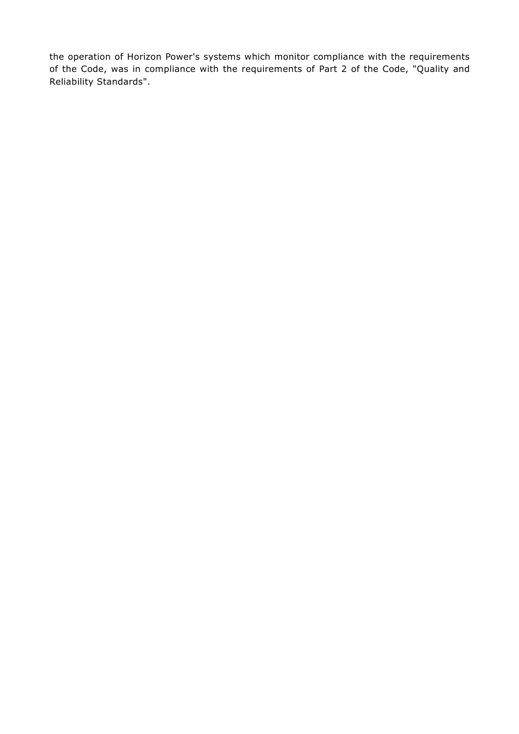the operation of Horizon Power's systems which monitor compliance with the requirements of the Code, was in compliance with the requirements of Part 2 of the Code, "Quality and Reliability Standards".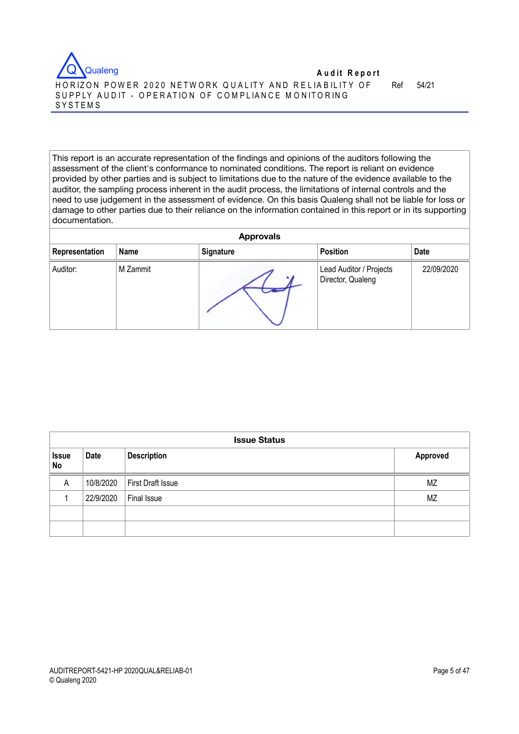

Ref 54/21

This report is an accurate representation of the findings and opinions of the auditors following the assessment of the client's conformance to nominated conditions. The report is reliant on evidence provided by other parties and is subject to limitations due to the nature of the evidence available to the auditor, the sampling process inherent in the audit process, the limitations of internal controls and the need to use judgement in the assessment of evidence. On this basis Qualeng shall not be liable for loss or damage to other parties due to their reliance on the information contained in this report or in its supporting documentation.

| <b>Approvals</b> |             |           |                                              |             |
|------------------|-------------|-----------|----------------------------------------------|-------------|
| Representation   | <b>Name</b> | Signature | <b>Position</b>                              | <b>Date</b> |
| Auditor:         | M Zammit    | ۰.        | Lead Auditor / Projects<br>Director, Qualeng | 22/09/2020  |

|                    | <b>Issue Status</b> |                               |           |  |  |
|--------------------|---------------------|-------------------------------|-----------|--|--|
| <b>Issue</b><br>No | Date                | <b>Description</b>            | Approved  |  |  |
| A                  |                     | 10/8/2020   First Draft Issue | ΜZ        |  |  |
|                    | 22/9/2020           | Final Issue                   | <b>MZ</b> |  |  |
|                    |                     |                               |           |  |  |
|                    |                     |                               |           |  |  |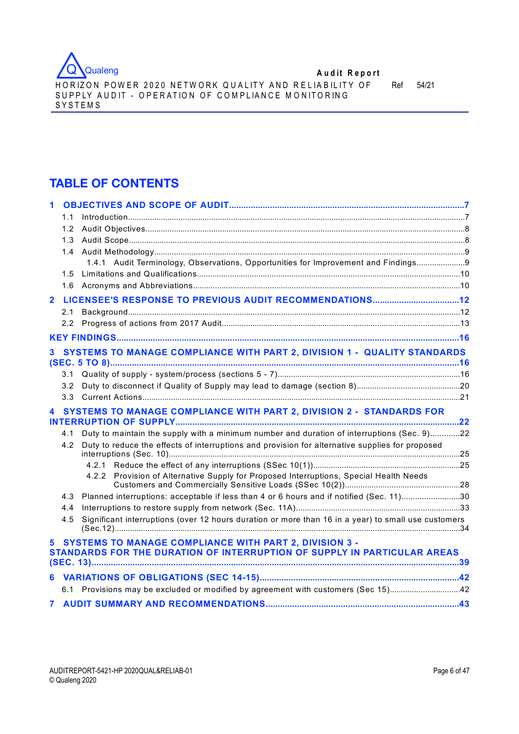

HORIZON POWER 2020 NETWORK QUALITY AND RELIABILITY OF SUPPLY AUDIT - OPERATION OF COMPLIANCE MONITORING SYSTEMS

Ref 54/21

# **TABLE OF CONTENTS**

|                | 1.1 |                                                                                                                                           |  |
|----------------|-----|-------------------------------------------------------------------------------------------------------------------------------------------|--|
|                | 1.2 |                                                                                                                                           |  |
|                | 1.3 |                                                                                                                                           |  |
|                | 1.4 |                                                                                                                                           |  |
|                |     | 1.4.1 Audit Terminology, Observations, Opportunities for Improvement and Findings                                                         |  |
|                | 1.5 |                                                                                                                                           |  |
|                | 1.6 |                                                                                                                                           |  |
| $\overline{2}$ |     |                                                                                                                                           |  |
|                | 2.1 |                                                                                                                                           |  |
|                | 2.2 |                                                                                                                                           |  |
|                |     |                                                                                                                                           |  |
| 3.             |     | SYSTEMS TO MANAGE COMPLIANCE WITH PART 2, DIVISION 1 - QUALITY STANDARDS                                                                  |  |
|                |     |                                                                                                                                           |  |
|                | 3.2 |                                                                                                                                           |  |
|                | 3.3 |                                                                                                                                           |  |
|                |     | 4 SYSTEMS TO MANAGE COMPLIANCE WITH PART 2, DIVISION 2 - STANDARDS FOR                                                                    |  |
|                | 4.1 | Duty to maintain the supply with a minimum number and duration of interruptions (Sec. 9)22                                                |  |
|                | 4.2 | Duty to reduce the effects of interruptions and provision for alternative supplies for proposed                                           |  |
|                |     |                                                                                                                                           |  |
|                |     | 4.2.2 Provision of Alternative Supply for Proposed Interruptions, Special Health Needs                                                    |  |
|                | 4.3 | Planned interruptions: acceptable if less than 4 or 6 hours and if notified (Sec. 11)30                                                   |  |
|                | 4.4 |                                                                                                                                           |  |
|                | 4.5 | Significant interruptions (over 12 hours duration or more than 16 in a year) to small use customers                                       |  |
| 5.             |     | <b>SYSTEMS TO MANAGE COMPLIANCE WITH PART 2, DIVISION 3 -</b><br>STANDARDS FOR THE DURATION OF INTERRUPTION OF SUPPLY IN PARTICULAR AREAS |  |
|                |     |                                                                                                                                           |  |
| 6              |     |                                                                                                                                           |  |
|                |     | 6.1 Provisions may be excluded or modified by agreement with customers (Sec 15)42                                                         |  |
| 7              |     |                                                                                                                                           |  |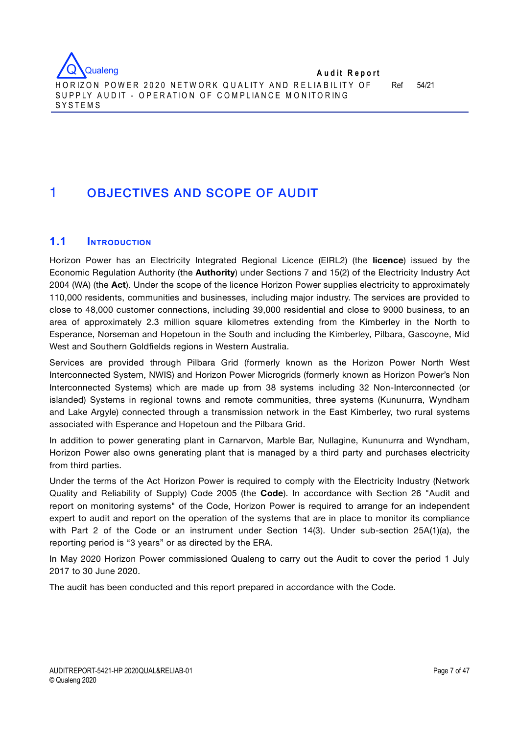

SYSTEMS

# 1 OBJECTIVES AND SCOPE OF AUDIT

# **1.1 INTRODUCTION**

Horizon Power has an Electricity Integrated Regional Licence (EIRL2) (the **licence**) issued by the Economic Regulation Authority (the **Authority**) under Sections 7 and 15(2) of the Electricity Industry Act 2004 (WA) (the **Act**). Under the scope of the licence Horizon Power supplies electricity to approximately 110,000 residents, communities and businesses, including major industry. The services are provided to close to 48,000 customer connections, including 39,000 residential and close to 9000 business, to an area of approximately 2.3 million square kilometres extending from the Kimberley in the North to Esperance, Norseman and Hopetoun in the South and including the Kimberley, Pilbara, Gascoyne, Mid West and Southern Goldfields regions in Western Australia.

Services are provided through Pilbara Grid (formerly known as the Horizon Power North West Interconnected System, NWIS) and Horizon Power Microgrids (formerly known as Horizon Power's Non Interconnected Systems) which are made up from 38 systems including 32 Non-Interconnected (or islanded) Systems in regional towns and remote communities, three systems (Kununurra, Wyndham and Lake Argyle) connected through a transmission network in the East Kimberley, two rural systems associated with Esperance and Hopetoun and the Pilbara Grid.

In addition to power generating plant in Carnarvon, Marble Bar, Nullagine, Kununurra and Wyndham, Horizon Power also owns generating plant that is managed by a third party and purchases electricity from third parties.

Under the terms of the Act Horizon Power is required to comply with the Electricity Industry (Network Quality and Reliability of Supply) Code 2005 (the **Code**). In accordance with Section 26 "Audit and report on monitoring systems" of the Code, Horizon Power is required to arrange for an independent expert to audit and report on the operation of the systems that are in place to monitor its compliance with Part 2 of the Code or an instrument under Section 14(3). Under sub-section 25A(1)(a), the reporting period is "3 years" or as directed by the ERA.

In May 2020 Horizon Power commissioned Qualeng to carry out the Audit to cover the period 1 July 2017 to 30 June 2020.

The audit has been conducted and this report prepared in accordance with the Code.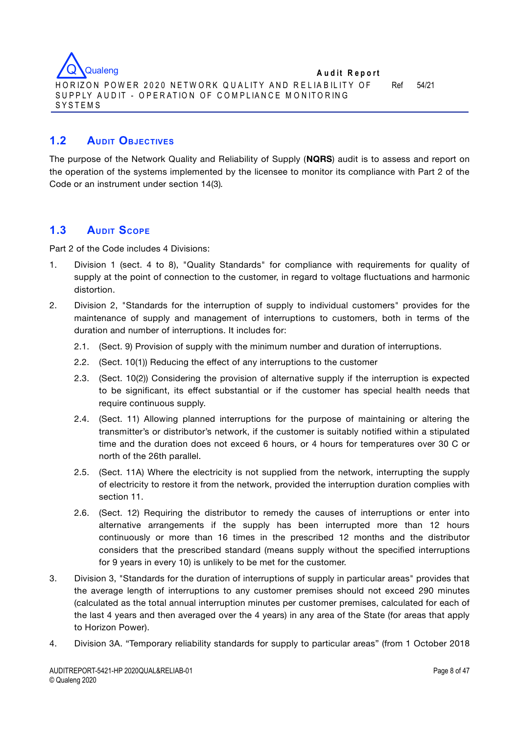

# **1.2 AUDIT OBJECTIVES**

The purpose of the Network Quality and Reliability of Supply (**NQRS**) audit is to assess and report on the operation of the systems implemented by the licensee to monitor its compliance with Part 2 of the Code or an instrument under section 14(3)*.* 

# **1.3 AUDIT SCOPE**

Part 2 of the Code includes 4 Divisions:

- 1. Division 1 (sect. 4 to 8), "Quality Standards" for compliance with requirements for quality of supply at the point of connection to the customer, in regard to voltage fluctuations and harmonic distortion.
- 2. Division 2, "Standards for the interruption of supply to individual customers" provides for the maintenance of supply and management of interruptions to customers, both in terms of the duration and number of interruptions. It includes for:
	- 2.1. (Sect. 9) Provision of supply with the minimum number and duration of interruptions.
	- 2.2. (Sect. 10(1)) Reducing the effect of any interruptions to the customer
	- 2.3. (Sect. 10(2)) Considering the provision of alternative supply if the interruption is expected to be significant, its effect substantial or if the customer has special health needs that require continuous supply.
	- 2.4. (Sect. 11) Allowing planned interruptions for the purpose of maintaining or altering the transmitter's or distributor's network, if the customer is suitably notified within a stipulated time and the duration does not exceed 6 hours, or 4 hours for temperatures over 30 C or north of the 26th parallel.
	- 2.5. (Sect. 11A) Where the electricity is not supplied from the network, interrupting the supply of electricity to restore it from the network, provided the interruption duration complies with section 11.
	- 2.6. (Sect. 12) Requiring the distributor to remedy the causes of interruptions or enter into alternative arrangements if the supply has been interrupted more than 12 hours continuously or more than 16 times in the prescribed 12 months and the distributor considers that the prescribed standard (means supply without the specified interruptions for 9 years in every 10) is unlikely to be met for the customer.
- 3. Division 3, "Standards for the duration of interruptions of supply in particular areas" provides that the average length of interruptions to any customer premises should not exceed 290 minutes (calculated as the total annual interruption minutes per customer premises, calculated for each of the last 4 years and then averaged over the 4 years) in any area of the State (for areas that apply to Horizon Power).
- 4. Division 3A. "Temporary reliability standards for supply to particular areas" (from 1 October 2018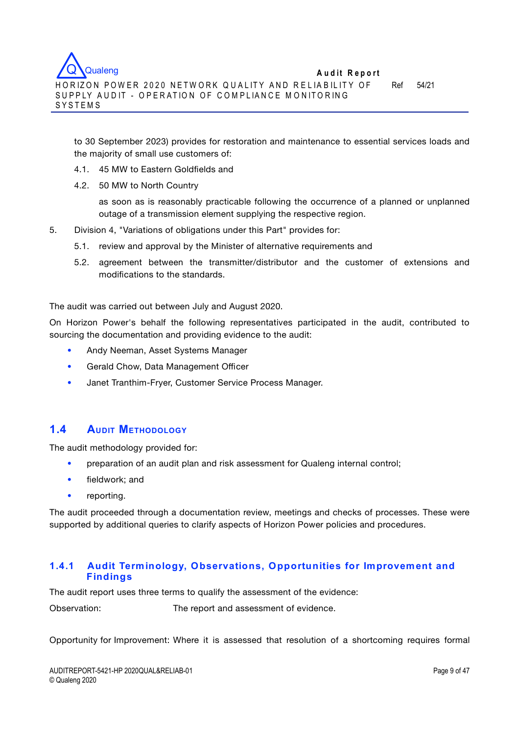to 30 September 2023) provides for restoration and maintenance to essential services loads and the majority of small use customers of:

- 4.1. 45 MW to Eastern Goldfields and
- 4.2. 50 MW to North Country

as soon as is reasonably practicable following the occurrence of a planned or unplanned outage of a transmission element supplying the respective region.

- 5. Division 4, "Variations of obligations under this Part" provides for:
	- 5.1. review and approval by the Minister of alternative requirements and
	- 5.2. agreement between the transmitter/distributor and the customer of extensions and modifications to the standards.

The audit was carried out between July and August 2020.

On Horizon Power's behalf the following representatives participated in the audit, contributed to sourcing the documentation and providing evidence to the audit:

- Andy Neeman, Asset Systems Manager
- Gerald Chow, Data Management Officer
- Janet Tranthim-Fryer, Customer Service Process Manager.

# **1.4 AUDIT METHODOLOGY**

The audit methodology provided for:

- preparation of an audit plan and risk assessment for Qualeng internal control;
- fieldwork; and
- reporting.

The audit proceeded through a documentation review, meetings and checks of processes. These were supported by additional queries to clarify aspects of Horizon Power policies and procedures.

## **1.4.1 Audit Terminology, Observations, Opportunities for Improvement and Findings**

The audit report uses three terms to qualify the assessment of the evidence:

Observation: The report and assessment of evidence.

Opportunity for Improvement: Where it is assessed that resolution of a shortcoming requires formal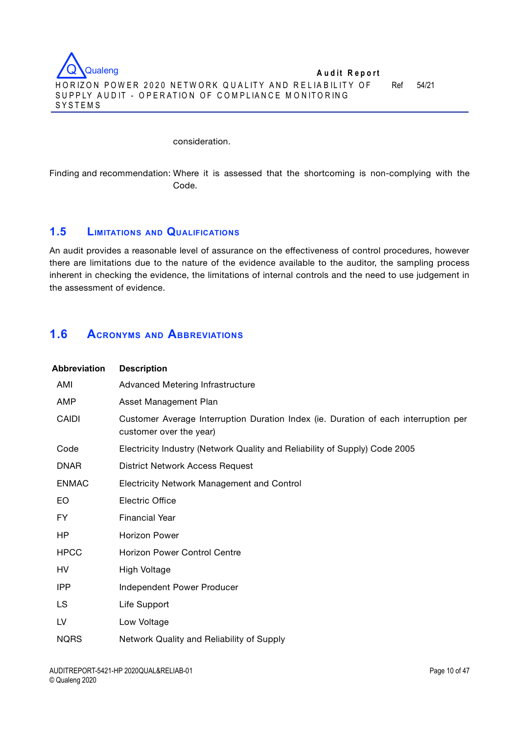

#### consideration.

Finding and recommendation: Where it is assessed that the shortcoming is non-complying with the Code.

# **1.5 LIMITATIONS AND QUALIFICATIONS**

An audit provides a reasonable level of assurance on the effectiveness of control procedures, however there are limitations due to the nature of the evidence available to the auditor, the sampling process inherent in checking the evidence, the limitations of internal controls and the need to use judgement in the assessment of evidence.

# **1.6 ACRONYMS AND ABBREVIATIONS**

| <b>Abbreviation</b> | <b>Description</b>                                                                                             |
|---------------------|----------------------------------------------------------------------------------------------------------------|
| AMI                 | Advanced Metering Infrastructure                                                                               |
| AMP                 | Asset Management Plan                                                                                          |
| CAIDI               | Customer Average Interruption Duration Index (ie. Duration of each interruption per<br>customer over the year) |
| Code                | Electricity Industry (Network Quality and Reliability of Supply) Code 2005                                     |
| <b>DNAR</b>         | <b>District Network Access Request</b>                                                                         |
| <b>ENMAC</b>        | <b>Electricity Network Management and Control</b>                                                              |
| EO.                 | <b>Electric Office</b>                                                                                         |
| FY.                 | <b>Financial Year</b>                                                                                          |
| HP                  | <b>Horizon Power</b>                                                                                           |
| <b>HPCC</b>         | <b>Horizon Power Control Centre</b>                                                                            |
| HV                  | High Voltage                                                                                                   |
| IPP                 | Independent Power Producer                                                                                     |
| <b>LS</b>           | Life Support                                                                                                   |
| LV                  | Low Voltage                                                                                                    |
| <b>NQRS</b>         | Network Quality and Reliability of Supply                                                                      |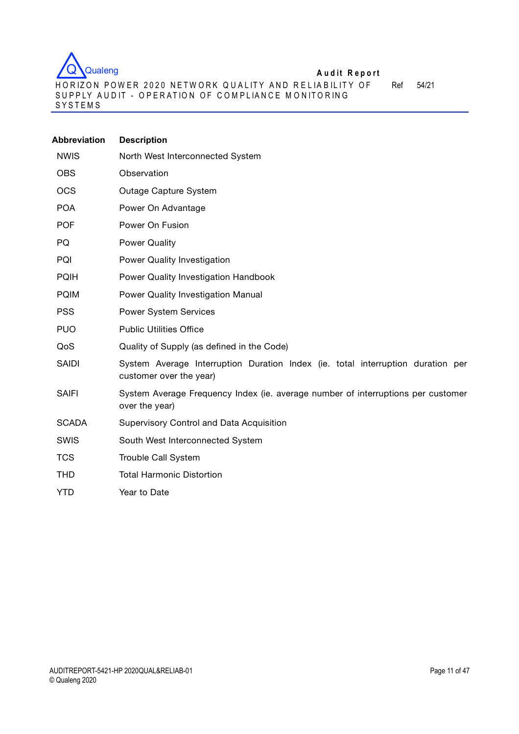

H O R IZO N PO W ER 2 0 2 0 NETW O RK Q U A LIT Y AN D R E L IA B IL IT Y OF SUPPLY AUDIT – OPERATION OF COMPLIANCE MONITORING SYSTEMS

Ref 54/21

| <b>Abbreviation</b> | <b>Description</b>                                                                                         |
|---------------------|------------------------------------------------------------------------------------------------------------|
| <b>NWIS</b>         | North West Interconnected System                                                                           |
| <b>OBS</b>          | Observation                                                                                                |
| <b>OCS</b>          | Outage Capture System                                                                                      |
| <b>POA</b>          | Power On Advantage                                                                                         |
| <b>POF</b>          | Power On Fusion                                                                                            |
| PQ                  | <b>Power Quality</b>                                                                                       |
| PQI                 | Power Quality Investigation                                                                                |
| <b>PQIH</b>         | Power Quality Investigation Handbook                                                                       |
| <b>PQIM</b>         | <b>Power Quality Investigation Manual</b>                                                                  |
| <b>PSS</b>          | <b>Power System Services</b>                                                                               |
| <b>PUO</b>          | <b>Public Utilities Office</b>                                                                             |
| QoS                 | Quality of Supply (as defined in the Code)                                                                 |
| <b>SAIDI</b>        | System Average Interruption Duration Index (ie. total interruption duration per<br>customer over the year) |
| <b>SAIFI</b>        | System Average Frequency Index (ie. average number of interruptions per customer<br>over the year)         |
| <b>SCADA</b>        | Supervisory Control and Data Acquisition                                                                   |
| <b>SWIS</b>         | South West Interconnected System                                                                           |
| <b>TCS</b>          | Trouble Call System                                                                                        |
| <b>THD</b>          | <b>Total Harmonic Distortion</b>                                                                           |
| <b>YTD</b>          | Year to Date                                                                                               |
|                     |                                                                                                            |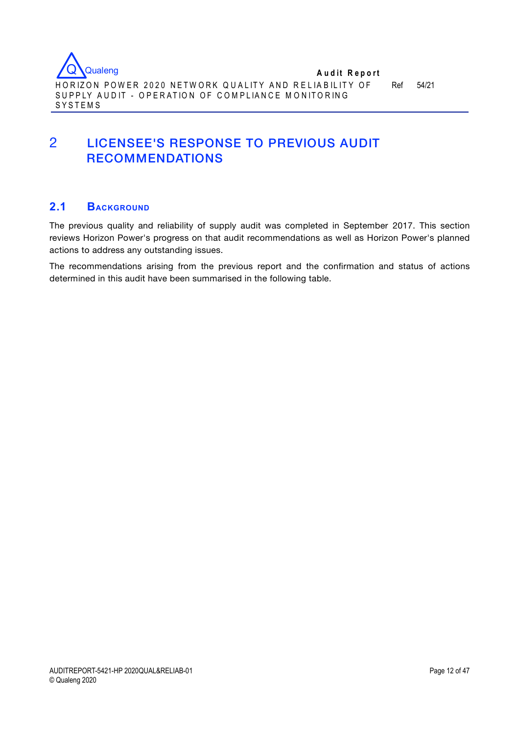

SYSTEMS

# 2 LICENSEE'S RESPONSE TO PREVIOUS AUDIT RECOMMENDATIONS

# **2.1 BACKGROUND**

The previous quality and reliability of supply audit was completed in September 2017. This section reviews Horizon Power's progress on that audit recommendations as well as Horizon Power's planned actions to address any outstanding issues.

The recommendations arising from the previous report and the confirmation and status of actions determined in this audit have been summarised in the following table.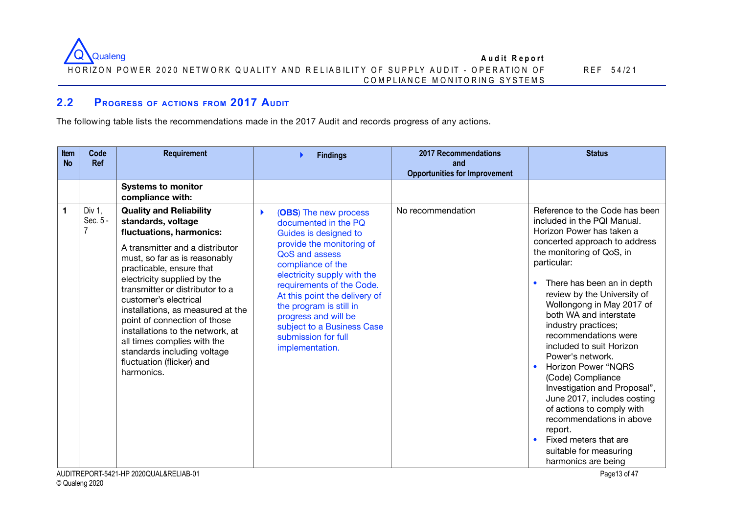

# **2.2 PROGRESS OF ACTIONS FROM 2017 AUDIT**

The following table lists the recommendations made in the 2017 Audit and records progress of any actions.

| <b>Item</b><br><b>No</b> | Code<br><b>Ref</b>    | Requirement                                                                                                                                                                                                                                                                                                                                                                                                                                                                                                                             | <b>Findings</b>                                                                                                                                                                                                                                                                                                                                                         | <b>2017 Recommendations</b><br>and<br><b>Opportunities for Improvement</b> | <b>Status</b>                                                                                                                                                                                                                                                                                                                                                                                                                                                                                                                                                                                                                                                                            |
|--------------------------|-----------------------|-----------------------------------------------------------------------------------------------------------------------------------------------------------------------------------------------------------------------------------------------------------------------------------------------------------------------------------------------------------------------------------------------------------------------------------------------------------------------------------------------------------------------------------------|-------------------------------------------------------------------------------------------------------------------------------------------------------------------------------------------------------------------------------------------------------------------------------------------------------------------------------------------------------------------------|----------------------------------------------------------------------------|------------------------------------------------------------------------------------------------------------------------------------------------------------------------------------------------------------------------------------------------------------------------------------------------------------------------------------------------------------------------------------------------------------------------------------------------------------------------------------------------------------------------------------------------------------------------------------------------------------------------------------------------------------------------------------------|
|                          |                       | <b>Systems to monitor</b><br>compliance with:                                                                                                                                                                                                                                                                                                                                                                                                                                                                                           |                                                                                                                                                                                                                                                                                                                                                                         |                                                                            |                                                                                                                                                                                                                                                                                                                                                                                                                                                                                                                                                                                                                                                                                          |
| 1                        | Div $1$ ,<br>Sec. 5 - | <b>Quality and Reliability</b><br>standards, voltage<br>fluctuations, harmonics:<br>A transmitter and a distributor<br>must, so far as is reasonably<br>practicable, ensure that<br>electricity supplied by the<br>transmitter or distributor to a<br>customer's electrical<br>installations, as measured at the<br>point of connection of those<br>installations to the network, at<br>all times complies with the<br>standards including voltage<br>fluctuation (flicker) and<br>harmonics.<br>AUDITREPORT-5421-HP 2020QUAL&RELIAB-01 | ь<br>(OBS) The new process<br>documented in the PQ<br>Guides is designed to<br>provide the monitoring of<br>QoS and assess<br>compliance of the<br>electricity supply with the<br>requirements of the Code.<br>At this point the delivery of<br>the program is still in<br>progress and will be<br>subject to a Business Case<br>submission for full<br>implementation. | No recommendation                                                          | Reference to the Code has been<br>included in the PQI Manual.<br>Horizon Power has taken a<br>concerted approach to address<br>the monitoring of QoS, in<br>particular:<br>There has been an in depth<br>review by the University of<br>Wollongong in May 2017 of<br>both WA and interstate<br>industry practices;<br>recommendations were<br>included to suit Horizon<br>Power's network.<br><b>Horizon Power "NQRS</b><br>(Code) Compliance<br>Investigation and Proposal",<br>June 2017, includes costing<br>of actions to comply with<br>recommendations in above<br>report.<br>Fixed meters that are<br>$\bullet$<br>suitable for measuring<br>harmonics are being<br>Page 13 of 47 |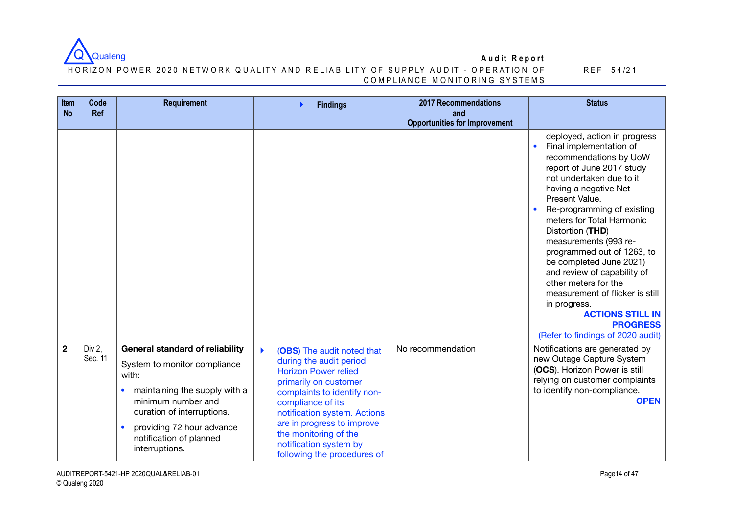

#### HORIZON POWER 2020 NETWORK QUALITY AND RELIABILITY OF SUPPLY AUDIT - OPERATION OF C O M P LIA N C E M O N ITO R IN G SYSTEM S

| Item<br><b>No</b> | Code<br><b>Ref</b> | <b>Requirement</b>                                                                             | <b>Findings</b>                                                                                              | <b>2017 Recommendations</b><br>and   | <b>Status</b>                                                                                                                                                                                                                                                                                                                                                                                                                                                                                                                                                                 |
|-------------------|--------------------|------------------------------------------------------------------------------------------------|--------------------------------------------------------------------------------------------------------------|--------------------------------------|-------------------------------------------------------------------------------------------------------------------------------------------------------------------------------------------------------------------------------------------------------------------------------------------------------------------------------------------------------------------------------------------------------------------------------------------------------------------------------------------------------------------------------------------------------------------------------|
|                   |                    |                                                                                                |                                                                                                              | <b>Opportunities for Improvement</b> |                                                                                                                                                                                                                                                                                                                                                                                                                                                                                                                                                                               |
|                   |                    |                                                                                                |                                                                                                              |                                      | deployed, action in progress<br>Final implementation of<br>$\bullet$<br>recommendations by UoW<br>report of June 2017 study<br>not undertaken due to it<br>having a negative Net<br>Present Value.<br>Re-programming of existing<br>$\bullet$<br>meters for Total Harmonic<br>Distortion (THD)<br>measurements (993 re-<br>programmed out of 1263, to<br>be completed June 2021)<br>and review of capability of<br>other meters for the<br>measurement of flicker is still<br>in progress.<br><b>ACTIONS STILL IN</b><br><b>PROGRESS</b><br>(Refer to findings of 2020 audit) |
| $\overline{2}$    | Div 2,             | <b>General standard of reliability</b>                                                         | N<br>(OBS) The audit noted that                                                                              | No recommendation                    | Notifications are generated by                                                                                                                                                                                                                                                                                                                                                                                                                                                                                                                                                |
|                   | Sec. 11            | System to monitor compliance<br>with:                                                          | during the audit period<br><b>Horizon Power relied</b><br>primarily on customer                              |                                      | new Outage Capture System<br>(OCS). Horizon Power is still<br>relying on customer complaints                                                                                                                                                                                                                                                                                                                                                                                                                                                                                  |
|                   |                    | maintaining the supply with a<br>$\bullet$<br>minimum number and<br>duration of interruptions. | complaints to identify non-<br>compliance of its<br>notification system. Actions                             |                                      | to identify non-compliance.<br><b>OPEN</b>                                                                                                                                                                                                                                                                                                                                                                                                                                                                                                                                    |
|                   |                    | providing 72 hour advance<br>$\bullet$<br>notification of planned<br>interruptions.            | are in progress to improve<br>the monitoring of the<br>notification system by<br>following the procedures of |                                      |                                                                                                                                                                                                                                                                                                                                                                                                                                                                                                                                                                               |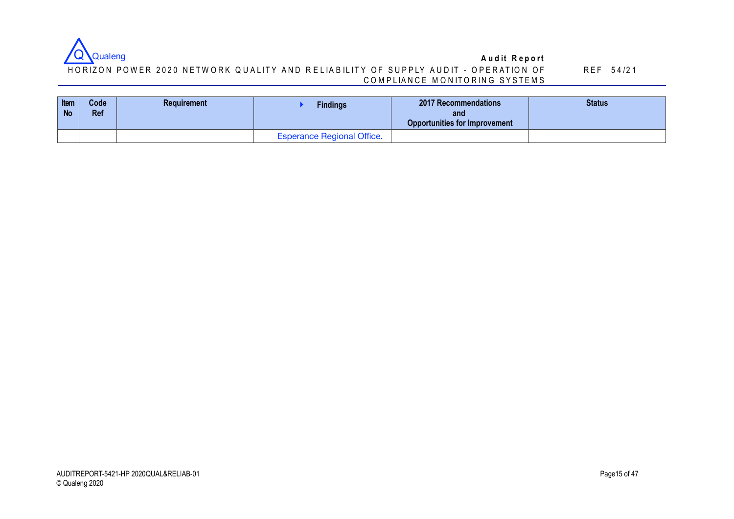

### HORIZON POWER 2020 NETWORK QUALITY AND RELIABILITY OF SUPPLY AUDIT - OPERATION OF C O M P LIA N C E M O N ITO R IN G SYSTEM S

| Item<br><b>No</b> | Code<br><b>Ref</b> | <b>Requirement</b> | <b>Findings</b>                   | <b>2017 Recommendations</b><br>and<br><b>Opportunities for Improvement</b> | <b>Status</b> |
|-------------------|--------------------|--------------------|-----------------------------------|----------------------------------------------------------------------------|---------------|
|                   |                    |                    | <b>Esperance Regional Office.</b> |                                                                            |               |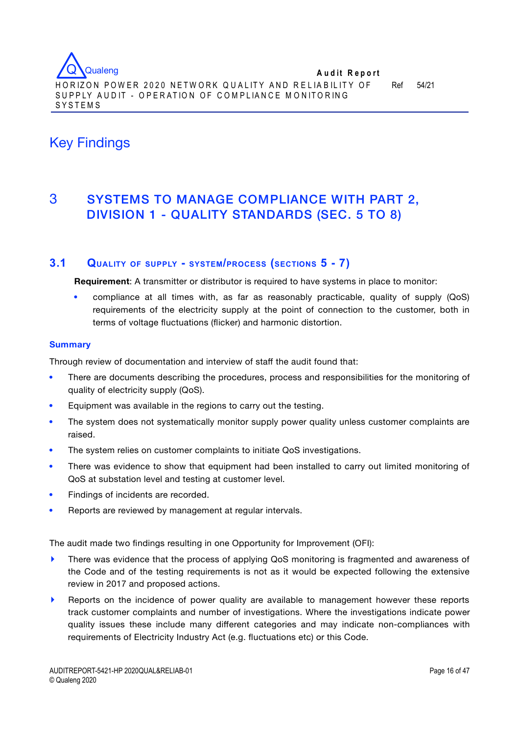# Key Findings

# 3 SYSTEMS TO MANAGE COMPLIANCE WITH PART 2, DIVISION 1 - QUALITY STANDARDS (SEC. 5 TO 8)

# **3.1 QUALITY OF SUPPLY - SYSTEM/PROCESS (SECTIONS 5 - 7)**

**Requirement**: A transmitter or distributor is required to have systems in place to monitor:

 compliance at all times with, as far as reasonably practicable, quality of supply (QoS) requirements of the electricity supply at the point of connection to the customer, both in terms of voltage fluctuations (flicker) and harmonic distortion.

### **Summary**

Through review of documentation and interview of staff the audit found that:

- There are documents describing the procedures, process and responsibilities for the monitoring of quality of electricity supply (QoS).
- Equipment was available in the regions to carry out the testing.
- The system does not systematically monitor supply power quality unless customer complaints are raised.
- The system relies on customer complaints to initiate QoS investigations.
- There was evidence to show that equipment had been installed to carry out limited monitoring of QoS at substation level and testing at customer level.
- Findings of incidents are recorded.
- Reports are reviewed by management at regular intervals.

The audit made two findings resulting in one Opportunity for Improvement (OFI):

- **‣** There was evidence that the process of applying QoS monitoring is fragmented and awareness of the Code and of the testing requirements is not as it would be expected following the extensive review in 2017 and proposed actions.
- **‣** Reports on the incidence of power quality are available to management however these reports track customer complaints and number of investigations. Where the investigations indicate power quality issues these include many different categories and may indicate non-compliances with requirements of Electricity Industry Act (e.g. fluctuations etc) or this Code.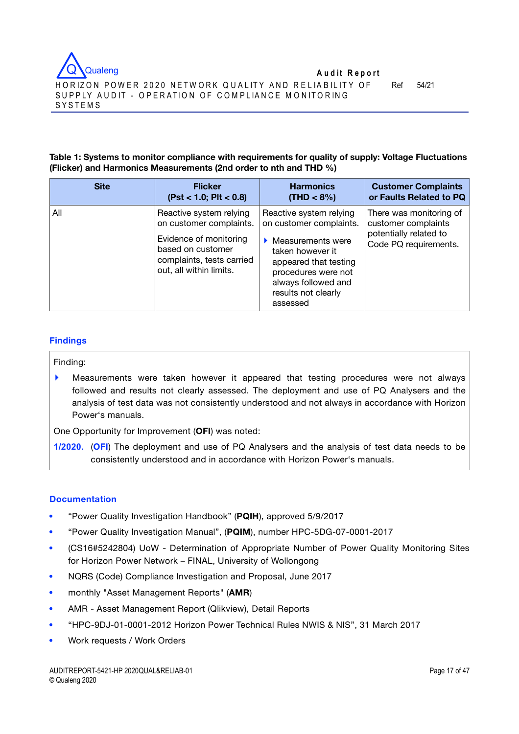

### **Table 1: Systems to monitor compliance with requirements for quality of supply: Voltage Fluctuations (Flicker) and Harmonics Measurements (2nd order to nth and THD %)**

| <b>Site</b> | <b>Flicker</b>                                                                                                                                            | <b>Harmonics</b>                                                                                                                                                                                      | <b>Customer Complaints</b>                                                                        |
|-------------|-----------------------------------------------------------------------------------------------------------------------------------------------------------|-------------------------------------------------------------------------------------------------------------------------------------------------------------------------------------------------------|---------------------------------------------------------------------------------------------------|
|             | (Pst < 1.0; PIt < 0.8)                                                                                                                                    | $(THD < 8\%)$                                                                                                                                                                                         | or Faults Related to PQ                                                                           |
| All         | Reactive system relying<br>on customer complaints.<br>Evidence of monitoring<br>based on customer<br>complaints, tests carried<br>out, all within limits. | Reactive system relying<br>on customer complaints.<br>Measurements were<br>taken however it<br>appeared that testing<br>procedures were not<br>always followed and<br>results not clearly<br>assessed | There was monitoring of<br>customer complaints<br>potentially related to<br>Code PQ requirements. |

### **Findings**

Finding:

**‣** Measurements were taken however it appeared that testing procedures were not always followed and results not clearly assessed. The deployment and use of PQ Analysers and the analysis of test data was not consistently understood and not always in accordance with Horizon Power's manuals.

One Opportunity for Improvement (**OFI**) was noted:

**1/2020.** (**OFI**) The deployment and use of PQ Analysers and the analysis of test data needs to be consistently understood and in accordance with Horizon Power's manuals.

## **Documentation**

- "Power Quality Investigation Handbook" (**PQIH**), approved 5/9/2017
- "Power Quality Investigation Manual", (**PQIM**), number HPC-5DG-07-0001-2017
- (CS16#5242804) UoW Determination of Appropriate Number of Power Quality Monitoring Sites for Horizon Power Network – FINAL, University of Wollongong
- NQRS (Code) Compliance Investigation and Proposal, June 2017
- monthly "Asset Management Reports" (**AMR**)
- AMR Asset Management Report (Qlikview), Detail Reports
- "HPC-9DJ-01-0001-2012 Horizon Power Technical Rules NWIS & NIS", 31 March 2017
- Work requests / Work Orders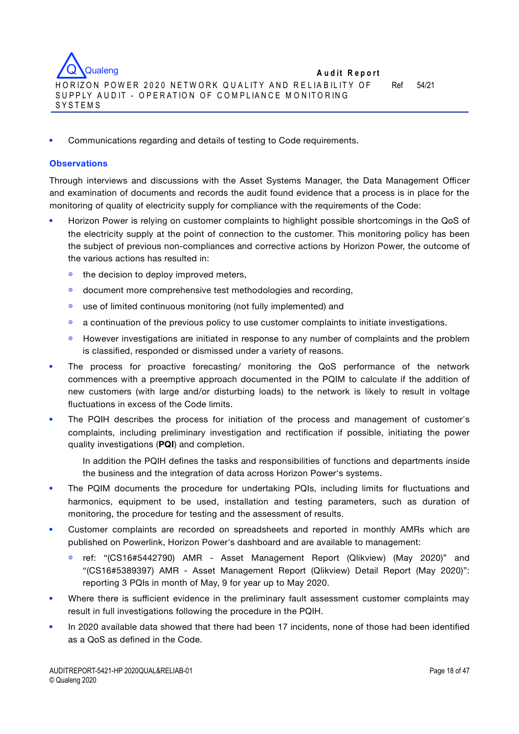

Communications regarding and details of testing to Code requirements.

#### **Observations**

Through interviews and discussions with the Asset Systems Manager, the Data Management Officer and examination of documents and records the audit found evidence that a process is in place for the monitoring of quality of electricity supply for compliance with the requirements of the Code:

- Horizon Power is relying on customer complaints to highlight possible shortcomings in the QoS of the electricity supply at the point of connection to the customer. This monitoring policy has been the subject of previous non-compliances and corrective actions by Horizon Power, the outcome of the various actions has resulted in:
	- ◍ the decision to deploy improved meters,
	- ◍ document more comprehensive test methodologies and recording,
	- ◍ use of limited continuous monitoring (not fully implemented) and
	- ◍ a continuation of the previous policy to use customer complaints to initiate investigations.
	- ◍ However investigations are initiated in response to any number of complaints and the problem is classified, responded or dismissed under a variety of reasons.
- The process for proactive forecasting/ monitoring the QoS performance of the network commences with a preemptive approach documented in the PQIM to calculate if the addition of new customers (with large and/or disturbing loads) to the network is likely to result in voltage fluctuations in excess of the Code limits.
- The PQIH describes the process for initiation of the process and management of customer's complaints, including preliminary investigation and rectification if possible, initiating the power quality investigations (**PQI**) and completion.
	- In addition the PQIH defines the tasks and responsibilities of functions and departments inside the business and the integration of data across Horizon Power's systems.
- The PQIM documents the procedure for undertaking PQIs, including limits for fluctuations and harmonics, equipment to be used, installation and testing parameters, such as duration of monitoring, the procedure for testing and the assessment of results.
- Customer complaints are recorded on spreadsheets and reported in monthly AMRs which are published on Powerlink, Horizon Power's dashboard and are available to management:
	- ref: "(CS16#5442790) AMR Asset Management Report (Qlikview) (May 2020)" and "(CS16#5389397) AMR - Asset Management Report (Qlikview) Detail Report (May 2020)": reporting 3 PQIs in month of May, 9 for year up to May 2020.
- Where there is sufficient evidence in the preliminary fault assessment customer complaints may result in full investigations following the procedure in the PQIH.
- In 2020 available data showed that there had been 17 incidents, none of those had been identified as a QoS as defined in the Code.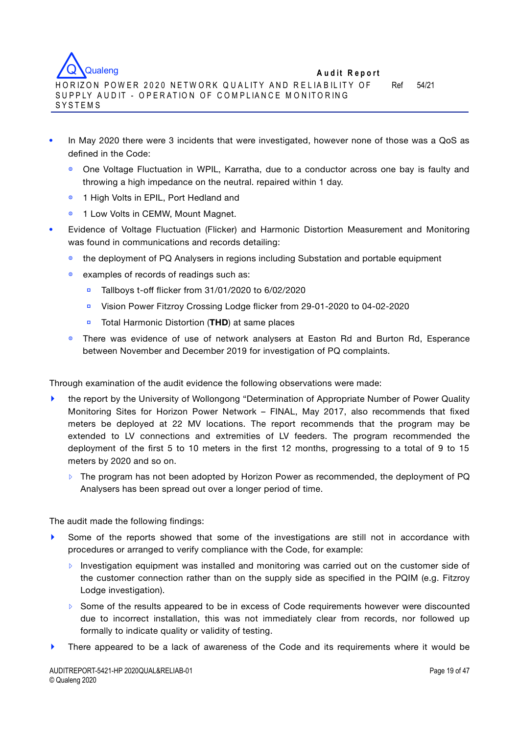

- In May 2020 there were 3 incidents that were investigated, however none of those was a QoS as defined in the Code:
	- ◍ One Voltage Fluctuation in WPIL, Karratha, due to a conductor across one bay is faulty and throwing a high impedance on the neutral. repaired within 1 day.
	- 1 High Volts in EPIL, Port Hedland and
	- 1 Low Volts in CEMW, Mount Magnet.
- Evidence of Voltage Fluctuation (Flicker) and Harmonic Distortion Measurement and Monitoring was found in communications and records detailing:
	- the deployment of PQ Analysers in regions including Substation and portable equipment
	- ◍ examples of records of readings such as:
		- **▫** Tallboys t-off flicker from 31/01/2020 to 6/02/2020
		- **▫** Vision Power Fitzroy Crossing Lodge flicker from 29-01-2020 to 04-02-2020
		- **▫** Total Harmonic Distortion (**THD**) at same places
	- There was evidence of use of network analysers at Easton Rd and Burton Rd, Esperance between November and December 2019 for investigation of PQ complaints.

Through examination of the audit evidence the following observations were made:

- **‣** the report by the University of Wollongong "Determination of Appropriate Number of Power Quality Monitoring Sites for Horizon Power Network – FINAL, May 2017, also recommends that fixed meters be deployed at 22 MV locations. The report recommends that the program may be extended to LV connections and extremities of LV feeders. The program recommended the deployment of the first 5 to 10 meters in the first 12 months, progressing to a total of 9 to 15 meters by 2020 and so on.
	- **▹** The program has not been adopted by Horizon Power as recommended, the deployment of PQ Analysers has been spread out over a longer period of time.

The audit made the following findings:

- **‣** Some of the reports showed that some of the investigations are still not in accordance with procedures or arranged to verify compliance with the Code, for example:
	- **▹** Investigation equipment was installed and monitoring was carried out on the customer side of the customer connection rather than on the supply side as specified in the PQIM (e.g. Fitzroy Lodge investigation).
	- **▹** Some of the results appeared to be in excess of Code requirements however were discounted due to incorrect installation, this was not immediately clear from records, nor followed up formally to indicate quality or validity of testing.
- There appeared to be a lack of awareness of the Code and its requirements where it would be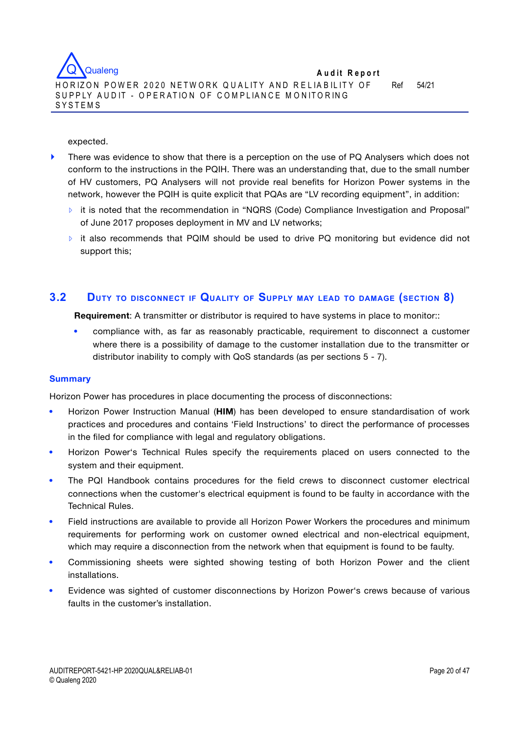

#### expected.

- **If there was evidence to show that there is a perception on the use of PQ Analysers which does not** conform to the instructions in the PQIH. There was an understanding that, due to the small number of HV customers, PQ Analysers will not provide real benefits for Horizon Power systems in the network, however the PQIH is quite explicit that PQAs are "LV recording equipment", in addition:
	- **▹** it is noted that the recommendation in "NQRS (Code) Compliance Investigation and Proposal" of June 2017 proposes deployment in MV and LV networks;
	- **▹** it also recommends that PQIM should be used to drive PQ monitoring but evidence did not support this;

# **3.2 DUTY TO DISCONNECT IF QUALITY OF SUPPLY MAY LEAD TO DAMAGE (SECTION 8)**

**Requirement**: A transmitter or distributor is required to have systems in place to monitor::

 compliance with, as far as reasonably practicable, requirement to disconnect a customer where there is a possibility of damage to the customer installation due to the transmitter or distributor inability to comply with QoS standards (as per sections 5 - 7).

#### **Summary**

Horizon Power has procedures in place documenting the process of disconnections:

- Horizon Power Instruction Manual (**HIM**) has been developed to ensure standardisation of work practices and procedures and contains 'Field Instructions' to direct the performance of processes in the filed for compliance with legal and regulatory obligations.
- Horizon Power's Technical Rules specify the requirements placed on users connected to the system and their equipment.
- The PQI Handbook contains procedures for the field crews to disconnect customer electrical connections when the customer's electrical equipment is found to be faulty in accordance with the Technical Rules.
- Field instructions are available to provide all Horizon Power Workers the procedures and minimum requirements for performing work on customer owned electrical and non-electrical equipment, which may require a disconnection from the network when that equipment is found to be faulty.
- Commissioning sheets were sighted showing testing of both Horizon Power and the client installations.
- Evidence was sighted of customer disconnections by Horizon Power's crews because of various faults in the customer's installation.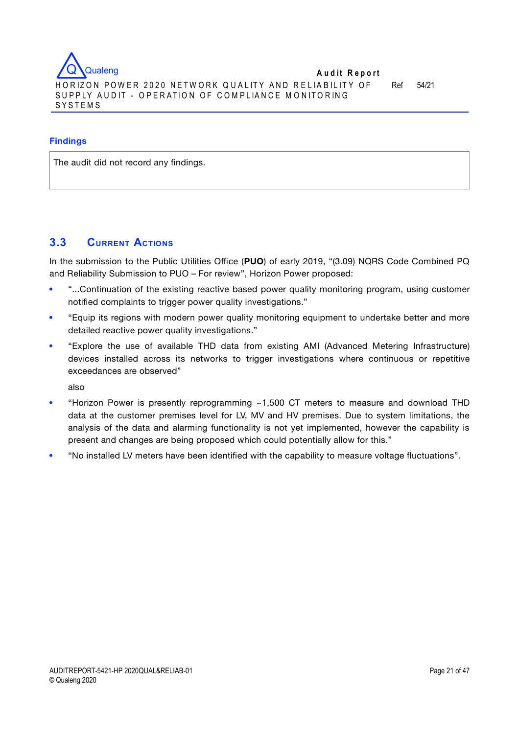

#### **Findings**

The audit did not record any findings.

# **3.3 CURRENT ACTIONS**

In the submission to the Public Utilities Office (**PUO**) of early 2019, "(3.09) NQRS Code Combined PQ and Reliability Submission to PUO – For review", Horizon Power proposed:

- "...Continuation of the existing reactive based power quality monitoring program, using customer notified complaints to trigger power quality investigations."
- "Equip its regions with modern power quality monitoring equipment to undertake better and more detailed reactive power quality investigations."
- "Explore the use of available THD data from existing AMI (Advanced Metering Infrastructure) devices installed across its networks to trigger investigations where continuous or repetitive exceedances are observed"

also

- "Horizon Power is presently reprogramming ~1,500 CT meters to measure and download THD data at the customer premises level for LV, MV and HV premises. Due to system limitations, the analysis of the data and alarming functionality is not yet implemented, however the capability is present and changes are being proposed which could potentially allow for this."
- "No installed LV meters have been identified with the capability to measure voltage fluctuations".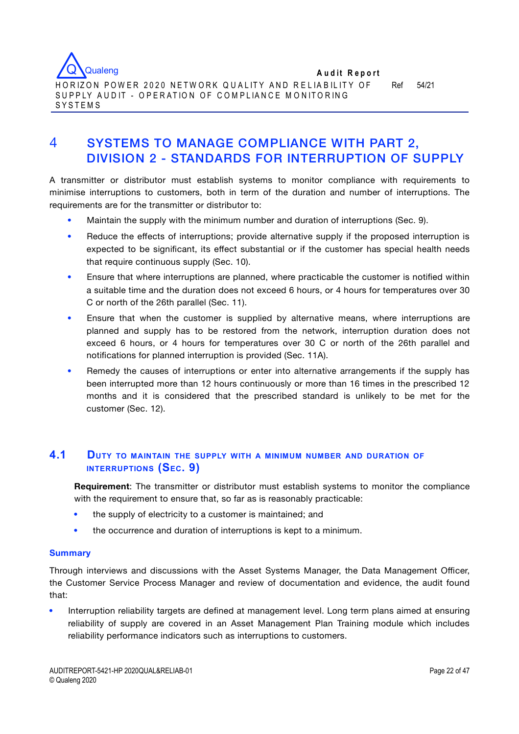

# 4 SYSTEMS TO MANAGE COMPLIANCE WITH PART 2, DIVISION 2 - STANDARDS FOR INTERRUPTION OF SUPPLY

A transmitter or distributor must establish systems to monitor compliance with requirements to minimise interruptions to customers, both in term of the duration and number of interruptions. The requirements are for the transmitter or distributor to:

- Maintain the supply with the minimum number and duration of interruptions (Sec. 9).
- Reduce the effects of interruptions; provide alternative supply if the proposed interruption is expected to be significant, its effect substantial or if the customer has special health needs that require continuous supply (Sec. 10).
- Ensure that where interruptions are planned, where practicable the customer is notified within a suitable time and the duration does not exceed 6 hours, or 4 hours for temperatures over 30 C or north of the 26th parallel (Sec. 11).
- Ensure that when the customer is supplied by alternative means, where interruptions are planned and supply has to be restored from the network, interruption duration does not exceed 6 hours, or 4 hours for temperatures over 30 C or north of the 26th parallel and notifications for planned interruption is provided (Sec. 11A).
- Remedy the causes of interruptions or enter into alternative arrangements if the supply has been interrupted more than 12 hours continuously or more than 16 times in the prescribed 12 months and it is considered that the prescribed standard is unlikely to be met for the customer (Sec. 12).

# **4.1 DUTY TO MAINTAIN THE SUPPLY WITH <sup>A</sup> MINIMUM NUMBER AND DURATION OF INTERRUPTIONS (SEC. 9)**

**Requirement**: The transmitter or distributor must establish systems to monitor the compliance with the requirement to ensure that, so far as is reasonably practicable:

- the supply of electricity to a customer is maintained; and
- the occurrence and duration of interruptions is kept to a minimum.

## **Summary**

Through interviews and discussions with the Asset Systems Manager, the Data Management Officer, the Customer Service Process Manager and review of documentation and evidence, the audit found that:

 Interruption reliability targets are defined at management level. Long term plans aimed at ensuring reliability of supply are covered in an Asset Management Plan Training module which includes reliability performance indicators such as interruptions to customers.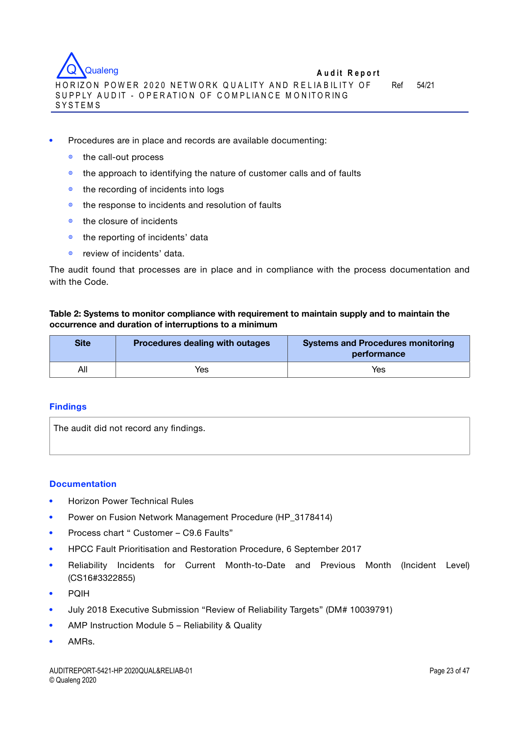

- ◍ the call-out process
- ◍ the approach to identifying the nature of customer calls and of faults
- ◍ the recording of incidents into logs
- ◍ the response to incidents and resolution of faults
- $\bullet$  the closure of incidents
- ◍ the reporting of incidents' data
- ◍ review of incidents' data.

The audit found that processes are in place and in compliance with the process documentation and with the Code.

### **Table 2: Systems to monitor compliance with requirement to maintain supply and to maintain the occurrence and duration of interruptions to a minimum**

| <b>Site</b> | Procedures dealing with outages | <b>Systems and Procedures monitoring</b><br>performance |
|-------------|---------------------------------|---------------------------------------------------------|
| All         | Yes                             | Yes                                                     |

#### **Findings**

The audit did not record any findings.

#### **Documentation**

- Horizon Power Technical Rules
- Power on Fusion Network Management Procedure (HP\_3178414)
- Process chart " Customer C9.6 Faults"
- HPCC Fault Prioritisation and Restoration Procedure, 6 September 2017
- Reliability Incidents for Current Month-to-Date and Previous Month (Incident Level) (CS16#3322855)
- PQIH
- July 2018 Executive Submission "Review of Reliability Targets" (DM# 10039791)
- AMP Instruction Module 5 Reliability & Quality
- AMRs.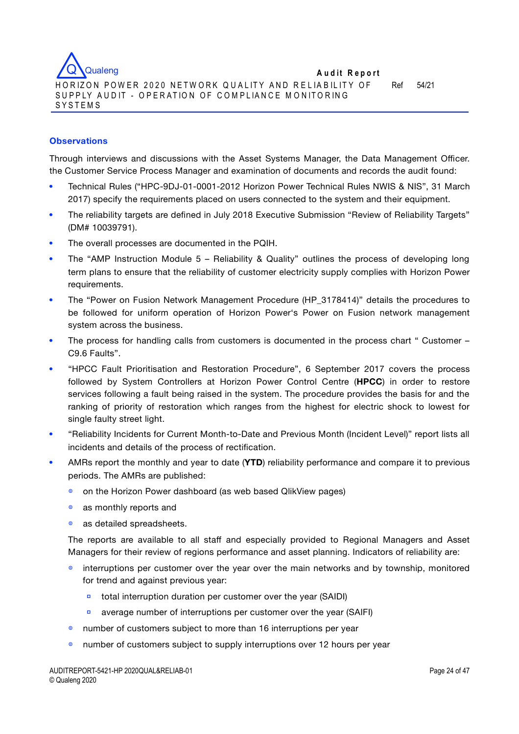

## **Observations**

Through interviews and discussions with the Asset Systems Manager, the Data Management Officer. the Customer Service Process Manager and examination of documents and records the audit found:

- Technical Rules ("HPC-9DJ-01-0001-2012 Horizon Power Technical Rules NWIS & NIS", 31 March 2017) specify the requirements placed on users connected to the system and their equipment.
- The reliability targets are defined in July 2018 Executive Submission "Review of Reliability Targets" (DM# 10039791).
- The overall processes are documented in the PQIH.
- The "AMP Instruction Module 5 Reliability & Quality" outlines the process of developing long term plans to ensure that the reliability of customer electricity supply complies with Horizon Power requirements.
- The "Power on Fusion Network Management Procedure (HP\_3178414)" details the procedures to be followed for uniform operation of Horizon Power's Power on Fusion network management system across the business.
- The process for handling calls from customers is documented in the process chart " Customer C9.6 Faults".
- "HPCC Fault Prioritisation and Restoration Procedure", 6 September 2017 covers the process followed by System Controllers at Horizon Power Control Centre (**HPCC**) in order to restore services following a fault being raised in the system. The procedure provides the basis for and the ranking of priority of restoration which ranges from the highest for electric shock to lowest for single faulty street light.
- "Reliability Incidents for Current Month-to-Date and Previous Month (Incident Level)" report lists all incidents and details of the process of rectification.
- AMRs report the monthly and year to date (**YTD**) reliability performance and compare it to previous periods. The AMRs are published:
	- on the Horizon Power dashboard (as web based QlikView pages)
	- $\bullet$  as monthly reports and
	- as detailed spreadsheets.

The reports are available to all staff and especially provided to Regional Managers and Asset Managers for their review of regions performance and asset planning. Indicators of reliability are:

- **■** interruptions per customer over the year over the main networks and by township, monitored for trend and against previous year:
	- **▫** total interruption duration per customer over the year (SAIDI)
	- **▫** average number of interruptions per customer over the year (SAIFI)
- number of customers subject to more than 16 interruptions per year
- ◍ number of customers subject to supply interruptions over 12 hours per year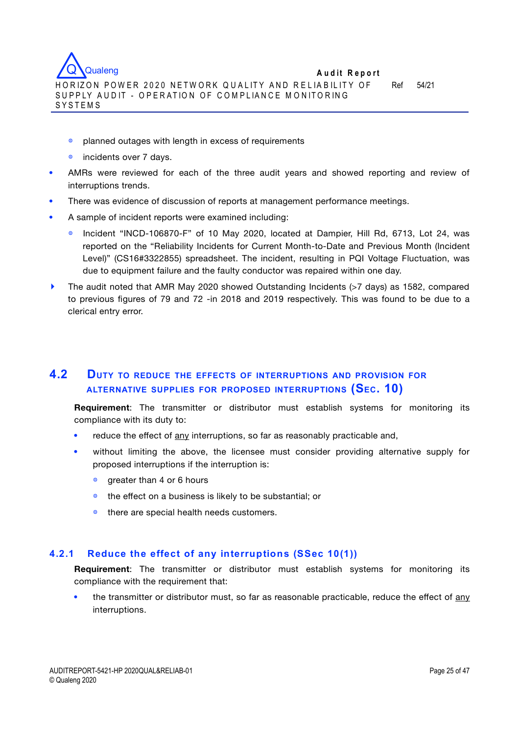

- ◍ planned outages with length in excess of requirements
- incidents over 7 days.
- AMRs were reviewed for each of the three audit years and showed reporting and review of interruptions trends.
- There was evidence of discussion of reports at management performance meetings.
- A sample of incident reports were examined including:
	- ◍ Incident "INCD-106870-F" of 10 May 2020, located at Dampier, Hill Rd, 6713, Lot 24, was reported on the "Reliability Incidents for Current Month-to-Date and Previous Month (Incident Level)" (CS16#3322855) spreadsheet. The incident, resulting in PQI Voltage Fluctuation, was due to equipment failure and the faulty conductor was repaired within one day.
- **‣** The audit noted that AMR May 2020 showed Outstanding Incidents (>7 days) as 1582, compared to previous figures of 79 and 72 -in 2018 and 2019 respectively. This was found to be due to a clerical entry error.

# **4.2 DUTY TO REDUCE THE EFFECTS OF INTERRUPTIONS AND PROVISION FOR ALTERNATIVE SUPPLIES FOR PROPOSED INTERRUPTIONS (SEC. 10)**

**Requirement**: The transmitter or distributor must establish systems for monitoring its compliance with its duty to:

- reduce the effect of any interruptions, so far as reasonably practicable and,
- without limiting the above, the licensee must consider providing alternative supply for proposed interruptions if the interruption is:
	- **<sup>®</sup>** greater than 4 or 6 hours
	- ◍ the effect on a business is likely to be substantial; or
	- ◍ there are special health needs customers.

## **4.2.1 Reduce the effect of any interruptions (SSec 10(1))**

**Requirement**: The transmitter or distributor must establish systems for monitoring its compliance with the requirement that:

 the transmitter or distributor must, so far as reasonable practicable, reduce the effect of any interruptions.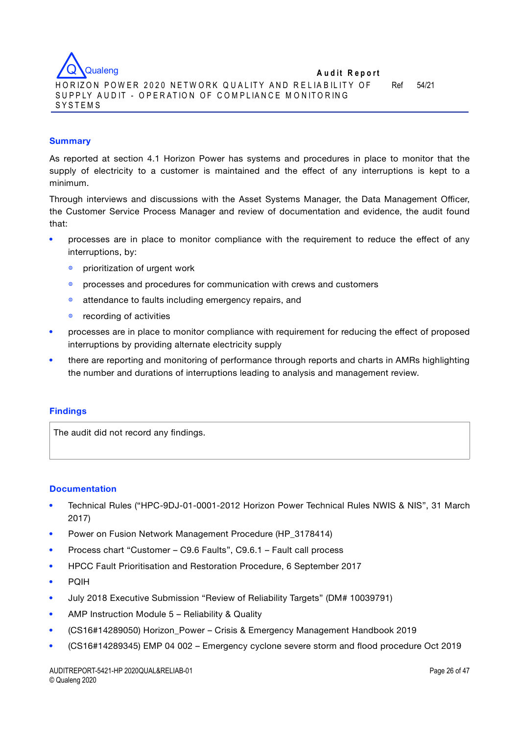

### **Summary**

As reported at section 4.1 Horizon Power has systems and procedures in place to monitor that the supply of electricity to a customer is maintained and the effect of any interruptions is kept to a minimum.

Through interviews and discussions with the Asset Systems Manager, the Data Management Officer, the Customer Service Process Manager and review of documentation and evidence, the audit found that:

- processes are in place to monitor compliance with the requirement to reduce the effect of any interruptions, by:
	- prioritization of urgent work
	- processes and procedures for communication with crews and customers
	- $\bullet$  attendance to faults including emergency repairs, and
	- ◍ recording of activities
- processes are in place to monitor compliance with requirement for reducing the effect of proposed interruptions by providing alternate electricity supply
- there are reporting and monitoring of performance through reports and charts in AMRs highlighting the number and durations of interruptions leading to analysis and management review.

## **Findings**

The audit did not record any findings.

#### **Documentation**

- Technical Rules ("HPC-9DJ-01-0001-2012 Horizon Power Technical Rules NWIS & NIS", 31 March 2017)
- Power on Fusion Network Management Procedure (HP\_3178414)
- Process chart "Customer C9.6 Faults", C9.6.1 Fault call process
- HPCC Fault Prioritisation and Restoration Procedure, 6 September 2017
- PQIH
- July 2018 Executive Submission "Review of Reliability Targets" (DM# 10039791)
- AMP Instruction Module 5 Reliability & Quality
- (CS16#14289050) Horizon\_Power Crisis & Emergency Management Handbook 2019
- (CS16#14289345) EMP 04 002 Emergency cyclone severe storm and flood procedure Oct 2019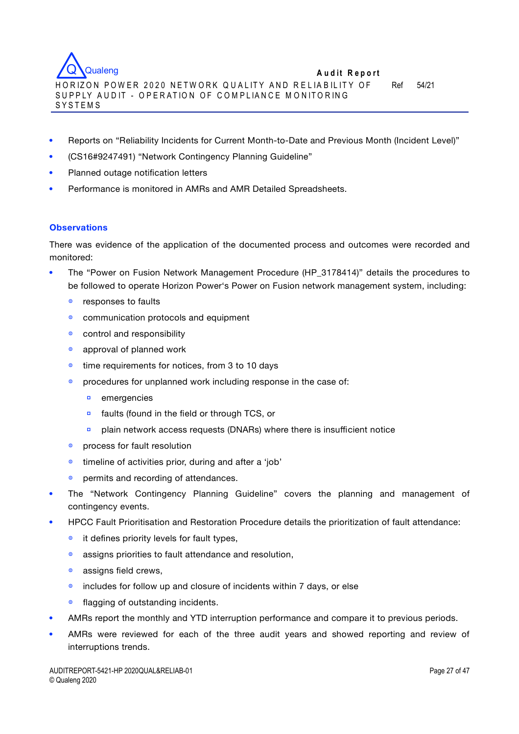**A u d it R eport** H O R IZO N PO W ER 2 0 2 0 NETW O RK Q U A LIT Y AN D R E L IA B IL IT Y OF SUPPLY AUDIT - OPERATION OF COMPLIANCE MONITORING SYSTEMS Ref 54/21 **Qualeng** 

- Reports on "Reliability Incidents for Current Month-to-Date and Previous Month (Incident Level)"
- (CS16#9247491) "Network Contingency Planning Guideline"
- Planned outage notification letters
- Performance is monitored in AMRs and AMR Detailed Spreadsheets.

### **Observations**

There was evidence of the application of the documented process and outcomes were recorded and monitored:

- The "Power on Fusion Network Management Procedure (HP\_3178414)" details the procedures to be followed to operate Horizon Power's Power on Fusion network management system, including:
	- $\bullet$  responses to faults
	- ◍ communication protocols and equipment
	- ◍ control and responsibility
	- ◍ approval of planned work
	- ◍ time requirements for notices, from 3 to 10 days
	- procedures for unplanned work including response in the case of:
		- **▫** emergencies
		- **▫** faults (found in the field or through TCS, or
		- **▫** plain network access requests (DNARs) where there is insufficient notice
	- ◍ process for fault resolution
	- ◍ timeline of activities prior, during and after a 'job'
	- $\bullet$  permits and recording of attendances.
- The "Network Contingency Planning Guideline" covers the planning and management of contingency events.
- HPCC Fault Prioritisation and Restoration Procedure details the prioritization of fault attendance:
	- ◍ it defines priority levels for fault types,
	- ◍ assigns priorities to fault attendance and resolution,
	- $\bullet$  assigns field crews,
	- ◍ includes for follow up and closure of incidents within 7 days, or else
	- ◍ flagging of outstanding incidents.
- AMRs report the monthly and YTD interruption performance and compare it to previous periods.
- AMRs were reviewed for each of the three audit years and showed reporting and review of interruptions trends.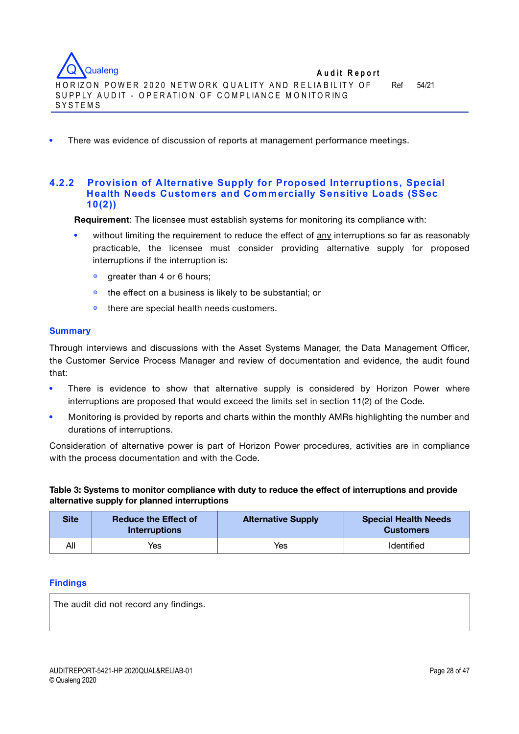

There was evidence of discussion of reports at management performance meetings.

## **4.2.2 Provision of Alternative Supply for Proposed Interruptions, Special Health Needs Customers and Commercially Sensitive Loads (SSec 10(2))**

**Requirement**: The licensee must establish systems for monitoring its compliance with:

- without limiting the requirement to reduce the effect of any interruptions so far as reasonably practicable, the licensee must consider providing alternative supply for proposed interruptions if the interruption is:
	- $\bullet$  greater than 4 or 6 hours;
	- ◍ the effect on a business is likely to be substantial; or
	- ◍ there are special health needs customers.

#### **Summary**

Through interviews and discussions with the Asset Systems Manager, the Data Management Officer, the Customer Service Process Manager and review of documentation and evidence, the audit found that:

- There is evidence to show that alternative supply is considered by Horizon Power where interruptions are proposed that would exceed the limits set in section 11(2) of the Code.
- Monitoring is provided by reports and charts within the monthly AMRs highlighting the number and durations of interruptions.

Consideration of alternative power is part of Horizon Power procedures, activities are in compliance with the process documentation and with the Code.

**Table 3: Systems to monitor compliance with duty to reduce the effect of interruptions and provide alternative supply for planned interruptions**

| Sitel | <b>Reduce the Effect of</b><br><b>Interruptions</b> | <b>Alternative Supply</b> | <b>Special Health Needs</b><br><b>Customers</b> |
|-------|-----------------------------------------------------|---------------------------|-------------------------------------------------|
| All   | Yes                                                 | Yes                       | Identified                                      |

#### **Findings**

The audit did not record any findings.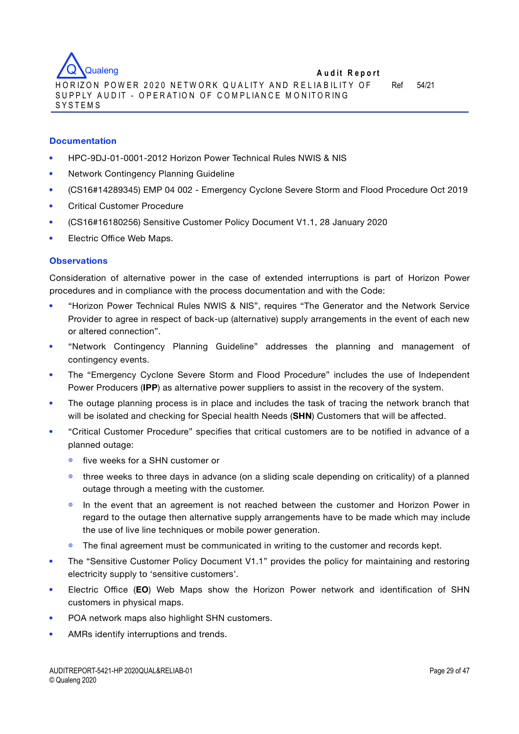

#### **Documentation**

- HPC-9DJ-01-0001-2012 Horizon Power Technical Rules NWIS & NIS
- Network Contingency Planning Guideline
- (CS16#14289345) EMP 04 002 Emergency Cyclone Severe Storm and Flood Procedure Oct 2019
- Critical Customer Procedure
- (CS16#16180256) Sensitive Customer Policy Document V1.1, 28 January 2020
- Electric Office Web Maps.

#### **Observations**

Consideration of alternative power in the case of extended interruptions is part of Horizon Power procedures and in compliance with the process documentation and with the Code:

- "Horizon Power Technical Rules NWIS & NIS", requires "The Generator and the Network Service Provider to agree in respect of back-up (alternative) supply arrangements in the event of each new or altered connection".
- "Network Contingency Planning Guideline" addresses the planning and management of contingency events.
- The "Emergency Cyclone Severe Storm and Flood Procedure" includes the use of Independent Power Producers (**IPP**) as alternative power suppliers to assist in the recovery of the system.
- The outage planning process is in place and includes the task of tracing the network branch that will be isolated and checking for Special health Needs (**SHN**) Customers that will be affected.
- "Critical Customer Procedure" specifies that critical customers are to be notified in advance of a planned outage:
	- ◍ five weeks for a SHN customer or
	- ◍ three weeks to three days in advance (on a sliding scale depending on criticality) of a planned outage through a meeting with the customer.
	- In the event that an agreement is not reached between the customer and Horizon Power in regard to the outage then alternative supply arrangements have to be made which may include the use of live line techniques or mobile power generation.
	- The final agreement must be communicated in writing to the customer and records kept.
- The "Sensitive Customer Policy Document V1.1" provides the policy for maintaining and restoring electricity supply to 'sensitive customers'.
- Electric Office (**EO**) Web Maps show the Horizon Power network and identification of SHN customers in physical maps.
- POA network maps also highlight SHN customers.
- AMRs identify interruptions and trends.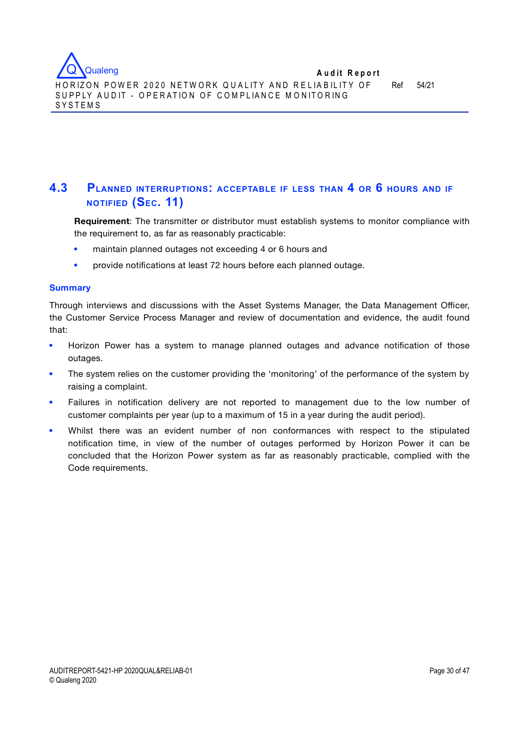

# **4.3 PLANNED INTERRUPTIONS: ACCEPTABLE IF LESS THAN 4 OR 6 HOURS AND IF NOTIFIED (SEC. 11)**

**Requirement**: The transmitter or distributor must establish systems to monitor compliance with the requirement to, as far as reasonably practicable:

- maintain planned outages not exceeding 4 or 6 hours and
- provide notifications at least 72 hours before each planned outage.

### **Summary**

Through interviews and discussions with the Asset Systems Manager, the Data Management Officer, the Customer Service Process Manager and review of documentation and evidence, the audit found that:

- Horizon Power has a system to manage planned outages and advance notification of those outages.
- The system relies on the customer providing the 'monitoring' of the performance of the system by raising a complaint.
- Failures in notification delivery are not reported to management due to the low number of customer complaints per year (up to a maximum of 15 in a year during the audit period).
- Whilst there was an evident number of non conformances with respect to the stipulated notification time, in view of the number of outages performed by Horizon Power it can be concluded that the Horizon Power system as far as reasonably practicable, complied with the Code requirements.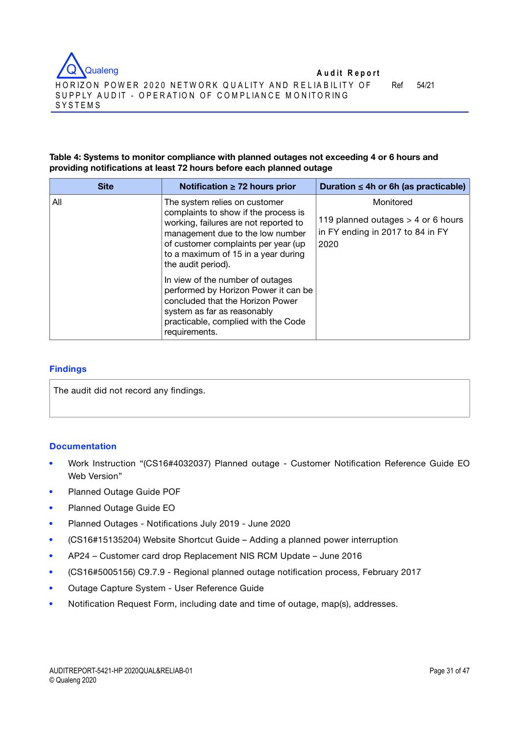

## **Table 4: Systems to monitor compliance with planned outages not exceeding 4 or 6 hours and providing notifications at least 72 hours before each planned outage**

| <b>Site</b> | Notification $\geq$ 72 hours prior                                                                                                                                                                                                                     | Duration $\leq$ 4h or 6h (as practicable)                                                     |
|-------------|--------------------------------------------------------------------------------------------------------------------------------------------------------------------------------------------------------------------------------------------------------|-----------------------------------------------------------------------------------------------|
| All         | The system relies on customer<br>complaints to show if the process is<br>working, failures are not reported to<br>management due to the low number<br>of customer complaints per year (up<br>to a maximum of 15 in a year during<br>the audit period). | Monitored<br>119 planned outages $>$ 4 or 6 hours<br>in FY ending in 2017 to 84 in FY<br>2020 |
|             | In view of the number of outages<br>performed by Horizon Power it can be<br>concluded that the Horizon Power<br>system as far as reasonably<br>practicable, complied with the Code<br>requirements.                                                    |                                                                                               |

### **Findings**

The audit did not record any findings.

## **Documentation**

- Work Instruction "(CS16#4032037) Planned outage Customer Notification Reference Guide EO Web Version"
- Planned Outage Guide POF
- Planned Outage Guide EO
- Planned Outages Notifications July 2019 June 2020
- (CS16#15135204) Website Shortcut Guide Adding a planned power interruption
- AP24 Customer card drop Replacement NIS RCM Update June 2016
- (CS16#5005156) C9.7.9 Regional planned outage notification process, February 2017
- Outage Capture System User Reference Guide
- Notification Request Form, including date and time of outage, map(s), addresses.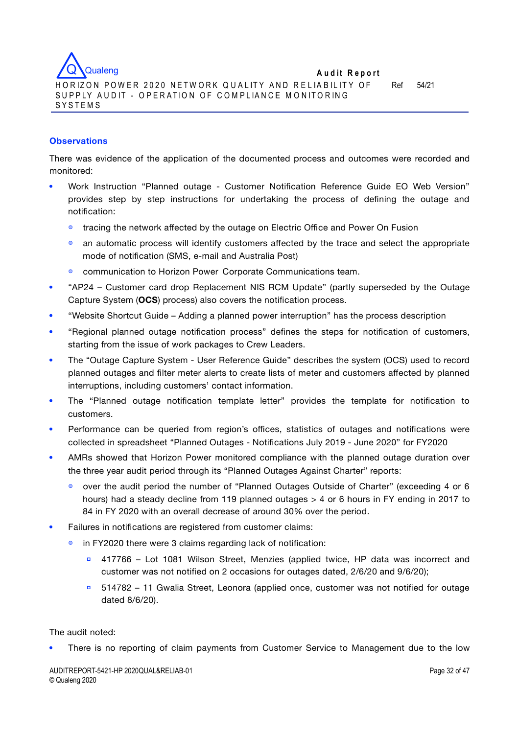

## **Observations**

There was evidence of the application of the documented process and outcomes were recorded and monitored:

- Work Instruction "Planned outage Customer Notification Reference Guide EO Web Version" provides step by step instructions for undertaking the process of defining the outage and notification:
	- ◍ tracing the network affected by the outage on Electric Office and Power On Fusion
	- $\bullet$  an automatic process will identify customers affected by the trace and select the appropriate mode of notification (SMS, e-mail and Australia Post)
	- communication to Horizon Power Corporate Communications team.
- "AP24 Customer card drop Replacement NIS RCM Update" (partly superseded by the Outage Capture System (**OCS**) process) also covers the notification process.
- "Website Shortcut Guide Adding a planned power interruption" has the process description
- "Regional planned outage notification process" defines the steps for notification of customers, starting from the issue of work packages to Crew Leaders.
- The "Outage Capture System User Reference Guide" describes the system (OCS) used to record planned outages and filter meter alerts to create lists of meter and customers affected by planned interruptions, including customers' contact information.
- The "Planned outage notification template letter" provides the template for notification to customers.
- Performance can be queried from region's offices, statistics of outages and notifications were collected in spreadsheet "Planned Outages - Notifications July 2019 - June 2020" for FY2020
- AMRs showed that Horizon Power monitored compliance with the planned outage duration over the three year audit period through its "Planned Outages Against Charter" reports:
	- ◍ over the audit period the number of "Planned Outages Outside of Charter" (exceeding 4 or 6 hours) had a steady decline from 119 planned outages > 4 or 6 hours in FY ending in 2017 to 84 in FY 2020 with an overall decrease of around 30% over the period.
- Failures in notifications are registered from customer claims:
	- in FY2020 there were 3 claims regarding lack of notification:
		- **▫** 417766 Lot 1081 Wilson Street, Menzies (applied twice, HP data was incorrect and customer was not notified on 2 occasions for outages dated, 2/6/20 and 9/6/20);
		- **▫** 514782 11 Gwalia Street, Leonora (applied once, customer was not notified for outage dated 8/6/20).

## The audit noted:

There is no reporting of claim payments from Customer Service to Management due to the low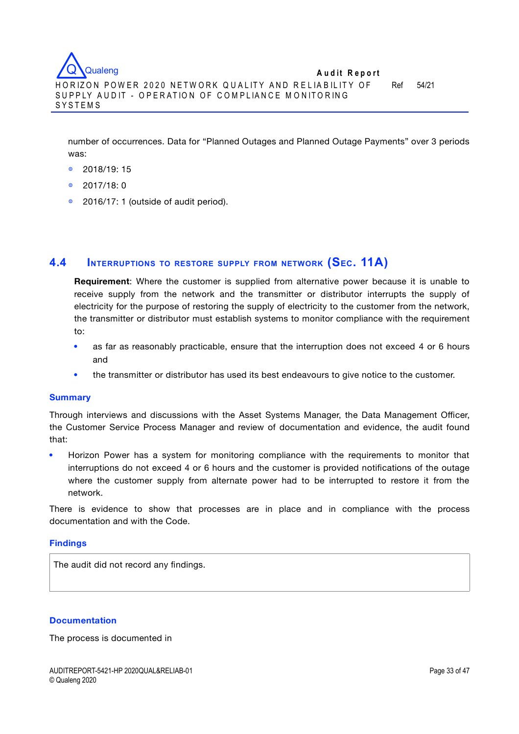number of occurrences. Data for "Planned Outages and Planned Outage Payments" over 3 periods was:

- ◍ 2018/19: 15
- ◍ 2017/18: 0
- ◍ 2016/17: 1 (outside of audit period).

# **4.4 INTERRUPTIONS TO RESTORE SUPPLY FROM NETWORK (SEC. 11A)**

**Requirement**: Where the customer is supplied from alternative power because it is unable to receive supply from the network and the transmitter or distributor interrupts the supply of electricity for the purpose of restoring the supply of electricity to the customer from the network, the transmitter or distributor must establish systems to monitor compliance with the requirement to:

- as far as reasonably practicable, ensure that the interruption does not exceed 4 or 6 hours and
- the transmitter or distributor has used its best endeavours to give notice to the customer.

#### **Summary**

Through interviews and discussions with the Asset Systems Manager, the Data Management Officer, the Customer Service Process Manager and review of documentation and evidence, the audit found that:

 Horizon Power has a system for monitoring compliance with the requirements to monitor that interruptions do not exceed 4 or 6 hours and the customer is provided notifications of the outage where the customer supply from alternate power had to be interrupted to restore it from the network.

There is evidence to show that processes are in place and in compliance with the process documentation and with the Code.

#### **Findings**

The audit did not record any findings.

#### **Documentation**

The process is documented in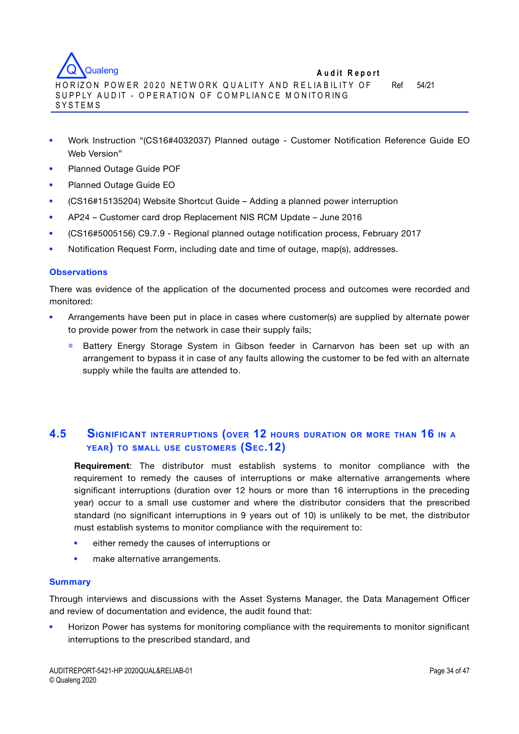

- Work Instruction "(CS16#4032037) Planned outage Customer Notification Reference Guide EO Web Version"
- Planned Outage Guide POF
- Planned Outage Guide EO
- (CS16#15135204) Website Shortcut Guide Adding a planned power interruption
- AP24 Customer card drop Replacement NIS RCM Update June 2016
- (CS16#5005156) C9.7.9 Regional planned outage notification process, February 2017
- Notification Request Form, including date and time of outage, map(s), addresses.

### **Observations**

There was evidence of the application of the documented process and outcomes were recorded and monitored:

- Arrangements have been put in place in cases where customer(s) are supplied by alternate power to provide power from the network in case their supply fails;
	- ◍ Battery Energy Storage System in Gibson feeder in Carnarvon has been set up with an arrangement to bypass it in case of any faults allowing the customer to be fed with an alternate supply while the faults are attended to.

# **4.5 SIGNIFICANT INTERRUPTIONS (OVER 12 HOURS DURATION OR MORE THAN 16 IN <sup>A</sup> YEAR) TO SMALL USE CUSTOMERS (SEC.12)**

**Requirement**: The distributor must establish systems to monitor compliance with the requirement to remedy the causes of interruptions or make alternative arrangements where significant interruptions (duration over 12 hours or more than 16 interruptions in the preceding year) occur to a small use customer and where the distributor considers that the prescribed standard (no significant interruptions in 9 years out of 10) is unlikely to be met, the distributor must establish systems to monitor compliance with the requirement to:

- either remedy the causes of interruptions or
- make alternative arrangements.

#### **Summary**

Through interviews and discussions with the Asset Systems Manager, the Data Management Officer and review of documentation and evidence, the audit found that:

 Horizon Power has systems for monitoring compliance with the requirements to monitor significant interruptions to the prescribed standard, and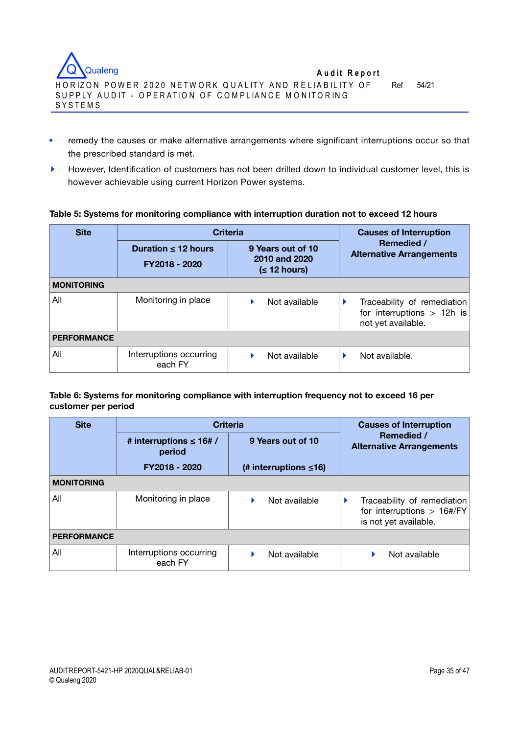

- remedy the causes or make alternative arrangements where significant interruptions occur so that the prescribed standard is met.
- **‣** However, Identification of customers has not been drilled down to individual customer level, this is however achievable using current Horizon Power systems.

### **Table 5: Systems for monitoring compliance with interruption duration not to exceed 12 hours**

| <b>Site</b>        | <b>Criteria</b>                           | <b>Causes of Interruption</b>                              |                                                                                   |  |  |  |  |  |  |
|--------------------|-------------------------------------------|------------------------------------------------------------|-----------------------------------------------------------------------------------|--|--|--|--|--|--|
|                    | Duration $\leq 12$ hours<br>FY2018 - 2020 | 9 Years out of 10<br>2010 and 2020<br>$(12 \text{ hours})$ | Remedied /<br><b>Alternative Arrangements</b>                                     |  |  |  |  |  |  |
| <b>MONITORING</b>  |                                           |                                                            |                                                                                   |  |  |  |  |  |  |
| All                | Monitoring in place                       | Not available                                              | Traceability of remediation<br>for interruptions $> 12h$ is<br>not yet available. |  |  |  |  |  |  |
| <b>PERFORMANCE</b> |                                           |                                                            |                                                                                   |  |  |  |  |  |  |
| All                | Interruptions occurring<br>each FY        | Not available                                              | Not available.                                                                    |  |  |  |  |  |  |

### **Table 6: Systems for monitoring compliance with interruption frequency not to exceed 16 per customer per period**

| <b>Site</b>        | <b>Criteria</b>                         | <b>Causes of Interruption</b> |                                                                                                           |  |
|--------------------|-----------------------------------------|-------------------------------|-----------------------------------------------------------------------------------------------------------|--|
|                    | # interruptions $\leq 16$ # /<br>period | 9 Years out of 10             | Remedied /<br><b>Alternative Arrangements</b>                                                             |  |
|                    | FY2018 - 2020                           | (# interruptions $\leq 16$ )  |                                                                                                           |  |
| <b>MONITORING</b>  |                                         |                               |                                                                                                           |  |
| All                | Monitoring in place                     | Not available                 | Traceability of remediation<br>for interruptions $> 16\frac{\text{H}}{\text{F}}$<br>is not yet available. |  |
| <b>PERFORMANCE</b> |                                         |                               |                                                                                                           |  |
| All                | Interruptions occurring<br>each FY      | Not available                 | Not available                                                                                             |  |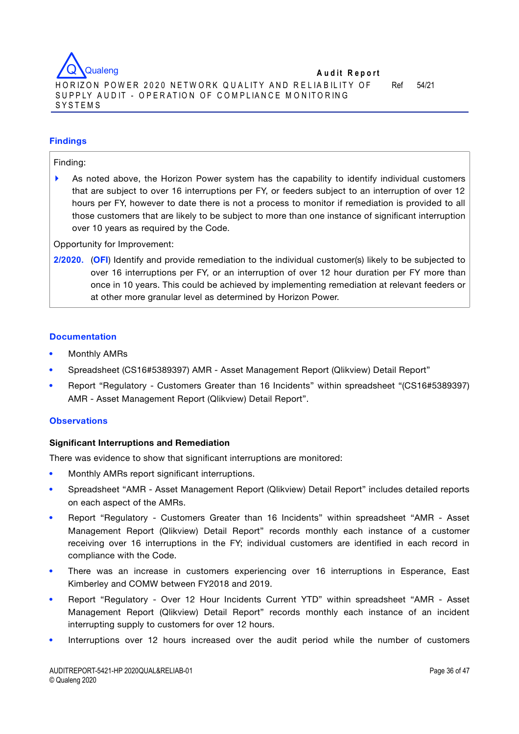

### **Findings**

#### Finding:

**‣** As noted above, the Horizon Power system has the capability to identify individual customers that are subject to over 16 interruptions per FY, or feeders subject to an interruption of over 12 hours per FY, however to date there is not a process to monitor if remediation is provided to all those customers that are likely to be subject to more than one instance of significant interruption over 10 years as required by the Code.

Opportunity for Improvement:

**2/2020.** (**OFI**) Identify and provide remediation to the individual customer(s) likely to be subjected to over 16 interruptions per FY, or an interruption of over 12 hour duration per FY more than once in 10 years. This could be achieved by implementing remediation at relevant feeders or at other more granular level as determined by Horizon Power.

#### **Documentation**

- Monthly AMRs
- Spreadsheet (CS16#5389397) AMR Asset Management Report (Qlikview) Detail Report"
- Report "Regulatory Customers Greater than 16 Incidents" within spreadsheet "(CS16#5389397) AMR - Asset Management Report (Qlikview) Detail Report".

#### **Observations**

#### **Significant Interruptions and Remediation**

There was evidence to show that significant interruptions are monitored:

- Monthly AMRs report significant interruptions.
- Spreadsheet "AMR Asset Management Report (Qlikview) Detail Report" includes detailed reports on each aspect of the AMRs.
- Report "Regulatory Customers Greater than 16 Incidents" within spreadsheet "AMR Asset Management Report (Qlikview) Detail Report" records monthly each instance of a customer receiving over 16 interruptions in the FY; individual customers are identified in each record in compliance with the Code.
- There was an increase in customers experiencing over 16 interruptions in Esperance, East Kimberley and COMW between FY2018 and 2019.
- Report "Regulatory Over 12 Hour Incidents Current YTD" within spreadsheet "AMR Asset Management Report (Qlikview) Detail Report" records monthly each instance of an incident interrupting supply to customers for over 12 hours.
- Interruptions over 12 hours increased over the audit period while the number of customers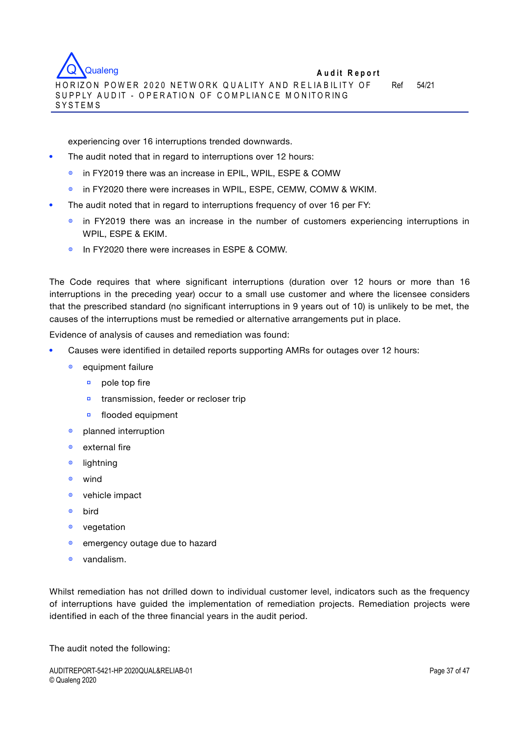experiencing over 16 interruptions trended downwards.

- The audit noted that in regard to interruptions over 12 hours:
	- ◍ in FY2019 there was an increase in EPIL, WPIL, ESPE & COMW
	- ◍ in FY2020 there were increases in WPIL, ESPE, CEMW, COMW & WKIM.
- The audit noted that in regard to interruptions frequency of over 16 per FY:
	- **•** in FY2019 there was an increase in the number of customers experiencing interruptions in WPIL, ESPE & EKIM.
	- ◍ In FY2020 there were increases in ESPE & COMW.

The Code requires that where significant interruptions (duration over 12 hours or more than 16 interruptions in the preceding year) occur to a small use customer and where the licensee considers that the prescribed standard (no significant interruptions in 9 years out of 10) is unlikely to be met, the causes of the interruptions must be remedied or alternative arrangements put in place.

Evidence of analysis of causes and remediation was found:

- Causes were identified in detailed reports supporting AMRs for outages over 12 hours:
	- equipment failure
		- **▫** pole top fire
		- **▫** transmission, feeder or recloser trip
		- **▫** flooded equipment
	- ◍ planned interruption
	- ◍ external fire
	- ◍ lightning
	- ◍ wind
	- ◍ vehicle impact
	- ◍ bird
	- ◍ vegetation
	- $\bullet$  emergency outage due to hazard
	- ◍ vandalism.

Whilst remediation has not drilled down to individual customer level, indicators such as the frequency of interruptions have guided the implementation of remediation projects. Remediation projects were identified in each of the three financial years in the audit period.

The audit noted the following: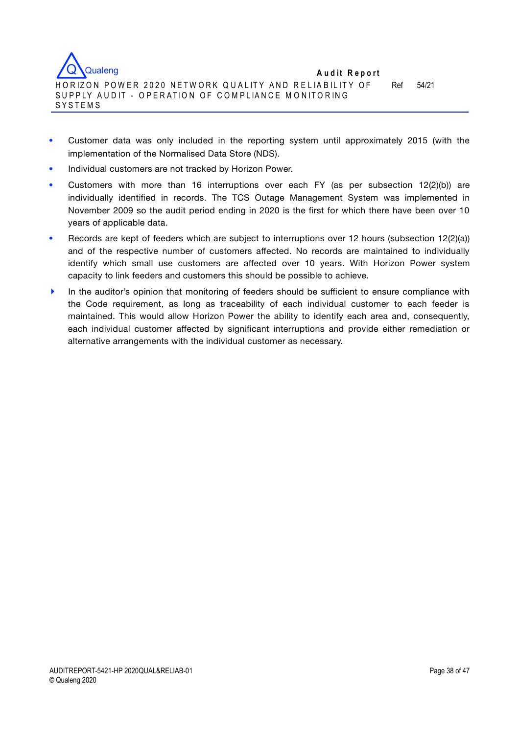

- Customer data was only included in the reporting system until approximately 2015 (with the implementation of the Normalised Data Store (NDS).
- Individual customers are not tracked by Horizon Power.
- Customers with more than 16 interruptions over each FY (as per subsection 12(2)(b)) are individually identified in records. The TCS Outage Management System was implemented in November 2009 so the audit period ending in 2020 is the first for which there have been over 10 years of applicable data.
- Records are kept of feeders which are subject to interruptions over 12 hours (subsection 12(2)(a)) and of the respective number of customers affected. No records are maintained to individually identify which small use customers are affected over 10 years. With Horizon Power system capacity to link feeders and customers this should be possible to achieve.
- **In the auditor's opinion that monitoring of feeders should be sufficient to ensure compliance with** the Code requirement, as long as traceability of each individual customer to each feeder is maintained. This would allow Horizon Power the ability to identify each area and, consequently, each individual customer affected by significant interruptions and provide either remediation or alternative arrangements with the individual customer as necessary.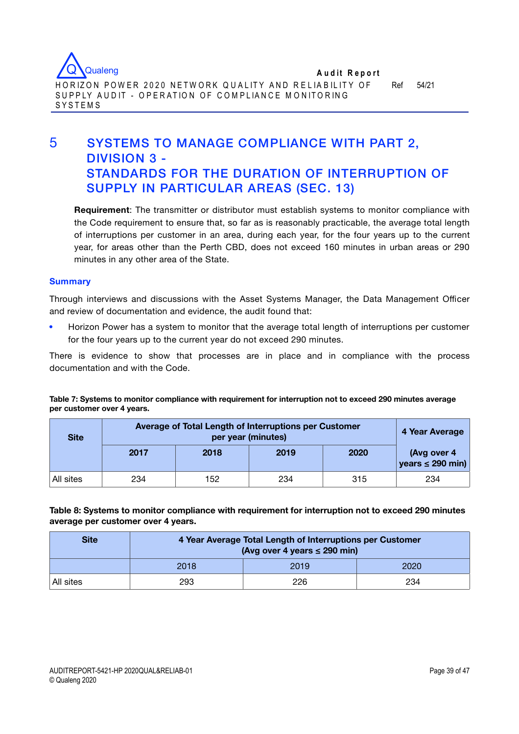

**SYSTEMS** 

# 5 SYSTEMS TO MANAGE COMPLIANCE WITH PART 2, DIVISION 3 - STANDARDS FOR THE DURATION OF INTERRUPTION OF SUPPLY IN PARTICULAR AREAS (SEC. 13)

**Requirement**: The transmitter or distributor must establish systems to monitor compliance with the Code requirement to ensure that, so far as is reasonably practicable, the average total length of interruptions per customer in an area, during each year, for the four years up to the current year, for areas other than the Perth CBD, does not exceed 160 minutes in urban areas or 290 minutes in any other area of the State.

#### **Summary**

Through interviews and discussions with the Asset Systems Manager, the Data Management Officer and review of documentation and evidence, the audit found that:

 Horizon Power has a system to monitor that the average total length of interruptions per customer for the four years up to the current year do not exceed 290 minutes.

There is evidence to show that processes are in place and in compliance with the process documentation and with the Code.

**Table 7: Systems to monitor compliance with requirement for interruption not to exceed 290 minutes average per customer over 4 years.**

| <b>Site</b> | Average of Total Length of Interruptions per Customer | 4 Year Average |      |      |                                      |
|-------------|-------------------------------------------------------|----------------|------|------|--------------------------------------|
|             | 2017                                                  | 2018           | 2019 | 2020 | (Avg over 4<br>years $\leq$ 290 min) |
| All sites   | 234                                                   | 152            | 234  | 315  | 234                                  |

**Table 8: Systems to monitor compliance with requirement for interruption not to exceed 290 minutes average per customer over 4 years.**

| <b>Site</b> | 4 Year Average Total Length of Interruptions per Customer<br>(Avg over 4 years $\leq$ 290 min) |      |      |  |  |  |  |  |  |
|-------------|------------------------------------------------------------------------------------------------|------|------|--|--|--|--|--|--|
|             | 2018                                                                                           | 2019 | 2020 |  |  |  |  |  |  |
| All sites   | 293                                                                                            | 226  | 234  |  |  |  |  |  |  |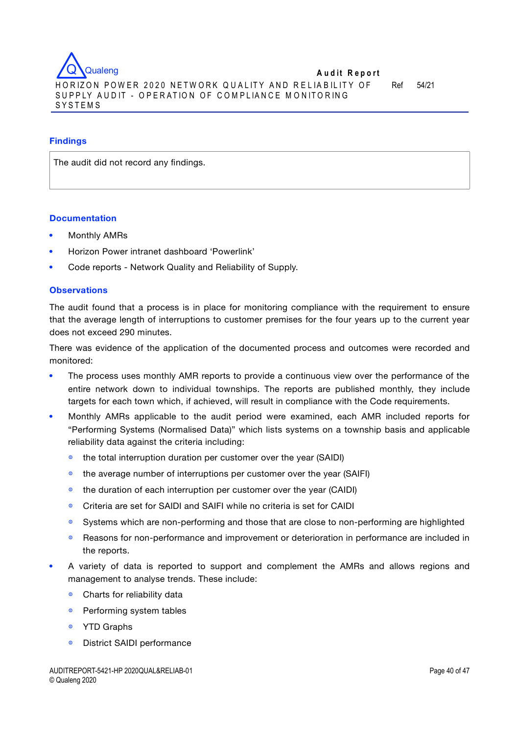

## **Findings**

The audit did not record any findings.

## **Documentation**

- Monthly AMRs
- Horizon Power intranet dashboard 'Powerlink'
- Code reports Network Quality and Reliability of Supply.

## **Observations**

The audit found that a process is in place for monitoring compliance with the requirement to ensure that the average length of interruptions to customer premises for the four years up to the current year does not exceed 290 minutes.

There was evidence of the application of the documented process and outcomes were recorded and monitored:

- The process uses monthly AMR reports to provide a continuous view over the performance of the entire network down to individual townships. The reports are published monthly, they include targets for each town which, if achieved, will result in compliance with the Code requirements.
- Monthly AMRs applicable to the audit period were examined, each AMR included reports for "Performing Systems (Normalised Data)" which lists systems on a township basis and applicable reliability data against the criteria including:
	- ◍ the total interruption duration per customer over the year (SAIDI)
	- the average number of interruptions per customer over the year (SAIFI)
	- ◍ the duration of each interruption per customer over the year (CAIDI)
	- ◍ Criteria are set for SAIDI and SAIFI while no criteria is set for CAIDI
	- ◍ Systems which are non-performing and those that are close to non-performing are highlighted
	- ◍ Reasons for non-performance and improvement or deterioration in performance are included in the reports.
- A variety of data is reported to support and complement the AMRs and allows regions and management to analyse trends. These include:
	- ◍ Charts for reliability data
	- Performing system tables
	- ◍ YTD Graphs
	- ◍ District SAIDI performance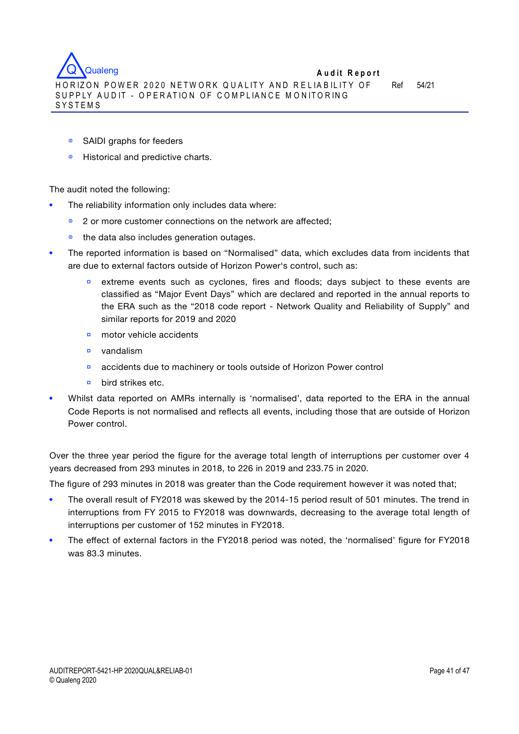**A u d it R eport** HORIZON POWER 2020 NETWORK QUALITY AND RELIABILITY OF SUPPLY AUDIT - OPERATION OF COMPLIANCE MONITORING SYSTEMS **Qualeng** 

Ref 54/21

- ◍ SAIDI graphs for feeders
- ◍ Historical and predictive charts.

The audit noted the following:

- The reliability information only includes data where:
	- ◍ 2 or more customer connections on the network are affected;
	- the data also includes generation outages.
- The reported information is based on "Normalised" data, which excludes data from incidents that are due to external factors outside of Horizon Power's control, such as:
	- extreme events such as cyclones, fires and floods; days subject to these events are classified as "Major Event Days" which are declared and reported in the annual reports to the ERA such as the "2018 code report - Network Quality and Reliability of Supply" and similar reports for 2019 and 2020
	- **▫** motor vehicle accidents
	- **▫** vandalism
	- **▫** accidents due to machinery or tools outside of Horizon Power control
	- **▫** bird strikes etc.
- Whilst data reported on AMRs internally is 'normalised', data reported to the ERA in the annual Code Reports is not normalised and reflects all events, including those that are outside of Horizon Power control.

Over the three year period the figure for the average total length of interruptions per customer over 4 years decreased from 293 minutes in 2018, to 226 in 2019 and 233.75 in 2020.

The figure of 293 minutes in 2018 was greater than the Code requirement however it was noted that;

- The overall result of FY2018 was skewed by the 2014-15 period result of 501 minutes. The trend in interruptions from FY 2015 to FY2018 was downwards, decreasing to the average total length of interruptions per customer of 152 minutes in FY2018.
- The effect of external factors in the FY2018 period was noted, the 'normalised' figure for FY2018 was 83.3 minutes.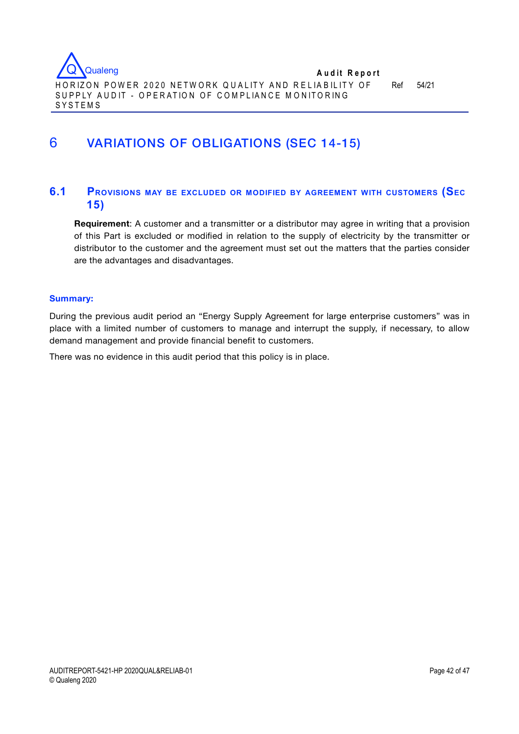

# 6 VARIATIONS OF OBLIGATIONS (SEC 14-15)

# **6.1 PROVISIONS MAY BE EXCLUDED OR MODIFIED BY AGREEMENT WITH CUSTOMERS (SEC 15)**

**Requirement**: A customer and a transmitter or a distributor may agree in writing that a provision of this Part is excluded or modified in relation to the supply of electricity by the transmitter or distributor to the customer and the agreement must set out the matters that the parties consider are the advantages and disadvantages.

### **Summary:**

During the previous audit period an "Energy Supply Agreement for large enterprise customers" was in place with a limited number of customers to manage and interrupt the supply, if necessary, to allow demand management and provide financial benefit to customers.

There was no evidence in this audit period that this policy is in place.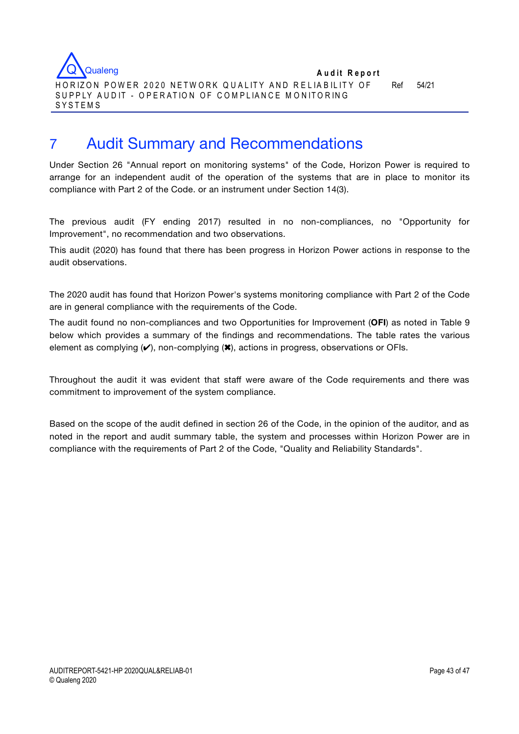

# 7 Audit Summary and Recommendations

Under Section 26 "Annual report on monitoring systems" of the Code, Horizon Power is required to arrange for an independent audit of the operation of the systems that are in place to monitor its compliance with Part 2 of the Code. or an instrument under Section 14(3).

The previous audit (FY ending 2017) resulted in no non-compliances, no "Opportunity for Improvement", no recommendation and two observations.

This audit (2020) has found that there has been progress in Horizon Power actions in response to the audit observations.

The 2020 audit has found that Horizon Power's systems monitoring compliance with Part 2 of the Code are in general compliance with the requirements of the Code.

The audit found no non-compliances and two Opportunities for Improvement (**OFI**) as noted in Table 9 below which provides a summary of the findings and recommendations. The table rates the various element as complying  $(V)$ , non-complying  $(X)$ , actions in progress, observations or OFIs.

Throughout the audit it was evident that staff were aware of the Code requirements and there was commitment to improvement of the system compliance.

Based on the scope of the audit defined in section 26 of the Code, in the opinion of the auditor, and as noted in the report and audit summary table, the system and processes within Horizon Power are in compliance with the requirements of Part 2 of the Code, "Quality and Reliability Standards".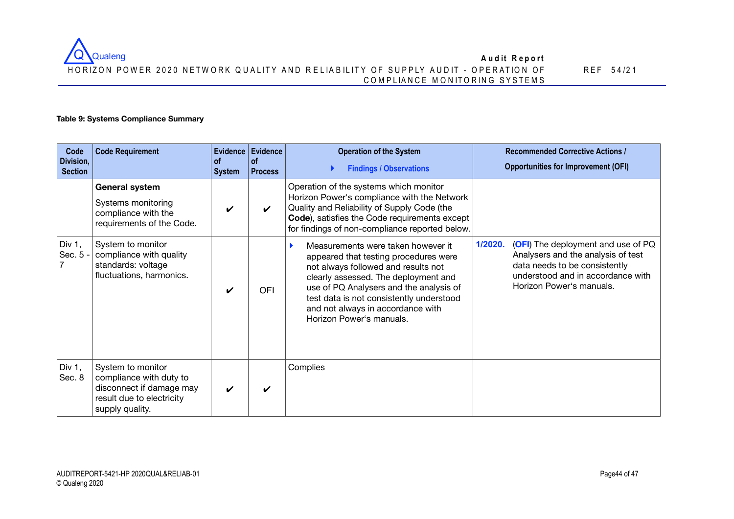#### **A u d it R eport** HORIZON POWER 2020 NETWORK QUALITY AND RELIABILITY OF SUPPLY AUDIT - OPERATION OF C O M P LIA N C E M O N ITO R IN G SYSTEM S Q Qualeng

REF 5 4 /2 1

## **Table 9: Systems Compliance Summary**

| Code<br>Division,<br><b>Section</b> | <b>Code Requirement</b>                                                                                                  | <b>of</b><br><b>System</b> | Evidence Evidence<br><b>of</b><br><b>Process</b> | <b>Operation of the System</b><br><b>Findings / Observations</b>                                                                                                                                                                                                                                                   |         | <b>Recommended Corrective Actions /</b><br><b>Opportunities for Improvement (OFI)</b>                                                                                      |
|-------------------------------------|--------------------------------------------------------------------------------------------------------------------------|----------------------------|--------------------------------------------------|--------------------------------------------------------------------------------------------------------------------------------------------------------------------------------------------------------------------------------------------------------------------------------------------------------------------|---------|----------------------------------------------------------------------------------------------------------------------------------------------------------------------------|
|                                     | <b>General system</b><br>Systems monitoring<br>compliance with the<br>requirements of the Code.                          | V                          | $\boldsymbol{\mathcal{U}}$                       | Operation of the systems which monitor<br>Horizon Power's compliance with the Network<br>Quality and Reliability of Supply Code (the<br>Code), satisfies the Code requirements except<br>for findings of non-compliance reported below.                                                                            |         |                                                                                                                                                                            |
| Div $1,$<br>Sec. 5                  | System to monitor<br>compliance with quality<br>standards: voltage<br>fluctuations, harmonics.                           | ✔                          | <b>OFI</b>                                       | Measurements were taken however it<br>appeared that testing procedures were<br>not always followed and results not<br>clearly assessed. The deployment and<br>use of PQ Analysers and the analysis of<br>test data is not consistently understood<br>and not always in accordance with<br>Horizon Power's manuals. | 1/2020. | (OFI) The deployment and use of PQ<br>Analysers and the analysis of test<br>data needs to be consistently<br>understood and in accordance with<br>Horizon Power's manuals. |
| Div $1,$<br>Sec. 8                  | System to monitor<br>compliance with duty to<br>disconnect if damage may<br>result due to electricity<br>supply quality. | $\boldsymbol{\nu}$         | $\boldsymbol{\nu}$                               | Complies                                                                                                                                                                                                                                                                                                           |         |                                                                                                                                                                            |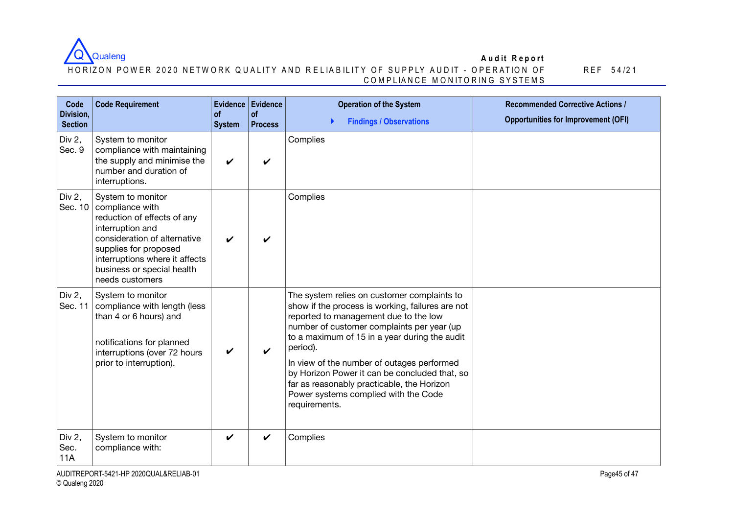

### HORIZON POWER 2020 NETWORK QUALITY AND RELIABILITY OF SUPPLY AUDIT - OPERATION OF C O M P LIA N C E M O N ITO R IN G SYSTEM S

| Code<br>Division,            | <b>Code Requirement</b>                                                                                                                                                                                                             | <b>of</b>                  | Evidence Evidence<br>of | <b>Operation of the System</b>                                                                                                                                                                                                                                                                                                                                                                                                                            | <b>Recommended Corrective Actions /</b>    |
|------------------------------|-------------------------------------------------------------------------------------------------------------------------------------------------------------------------------------------------------------------------------------|----------------------------|-------------------------|-----------------------------------------------------------------------------------------------------------------------------------------------------------------------------------------------------------------------------------------------------------------------------------------------------------------------------------------------------------------------------------------------------------------------------------------------------------|--------------------------------------------|
| <b>Section</b>               |                                                                                                                                                                                                                                     | <b>System</b>              | <b>Process</b>          | <b>Findings / Observations</b>                                                                                                                                                                                                                                                                                                                                                                                                                            | <b>Opportunities for Improvement (OFI)</b> |
| Div 2,<br>Sec. 9             | System to monitor<br>compliance with maintaining<br>the supply and minimise the<br>number and duration of<br>interruptions.                                                                                                         | $\boldsymbol{\mathcal{U}}$ | ✓                       | Complies                                                                                                                                                                                                                                                                                                                                                                                                                                                  |                                            |
| Div $2,$<br>Sec. 10          | System to monitor<br>compliance with<br>reduction of effects of any<br>interruption and<br>consideration of alternative<br>supplies for proposed<br>interruptions where it affects<br>business or special health<br>needs customers | ✔                          | ✔                       | Complies                                                                                                                                                                                                                                                                                                                                                                                                                                                  |                                            |
| Div 2,<br>Sec. 11            | System to monitor<br>compliance with length (less<br>than 4 or 6 hours) and<br>notifications for planned<br>interruptions (over 72 hours<br>prior to interruption).                                                                 | V                          | ✓                       | The system relies on customer complaints to<br>show if the process is working, failures are not<br>reported to management due to the low<br>number of customer complaints per year (up<br>to a maximum of 15 in a year during the audit<br>period).<br>In view of the number of outages performed<br>by Horizon Power it can be concluded that, so<br>far as reasonably practicable, the Horizon<br>Power systems complied with the Code<br>requirements. |                                            |
| Div 2,<br>Sec.<br><b>11A</b> | System to monitor<br>compliance with:                                                                                                                                                                                               | $\boldsymbol{\nu}$         | ✓                       | Complies                                                                                                                                                                                                                                                                                                                                                                                                                                                  |                                            |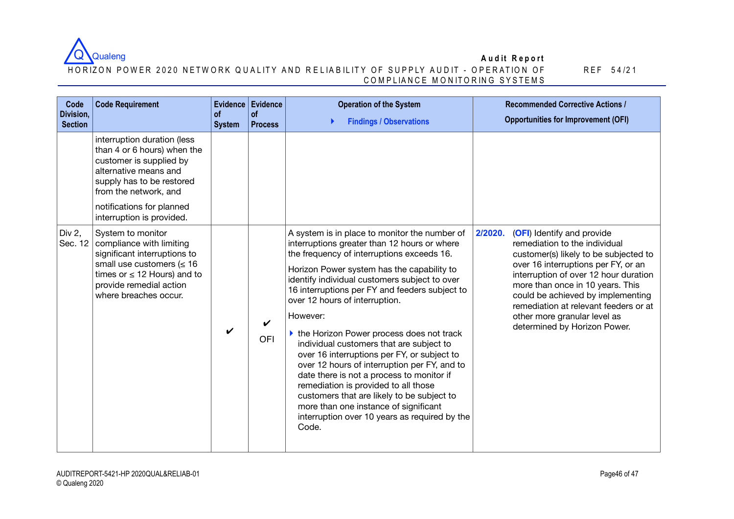

#### HORIZON POWER 2020 NETWORK QUALITY AND RELIABILITY OF SUPPLY AUDIT - OPERATION OF C O M P LIA N C E M O N ITO R IN G SYSTEM S

| Code<br>Division,<br><b>Section</b> | <b>Code Requirement</b>                                                                                                                                                                                                        | <b>of</b><br><b>System</b> | Evidence Evidence<br>$\circ$ f<br><b>Process</b> | <b>Operation of the System</b><br><b>Findings / Observations</b>                                                                                                                                                                                                                                                                                                                                                                                                                                                                                                                                                                                                                                                                                                          | <b>Recommended Corrective Actions /</b><br><b>Opportunities for Improvement (OFI)</b>                                                                                                                                                                                                                                                                                             |
|-------------------------------------|--------------------------------------------------------------------------------------------------------------------------------------------------------------------------------------------------------------------------------|----------------------------|--------------------------------------------------|---------------------------------------------------------------------------------------------------------------------------------------------------------------------------------------------------------------------------------------------------------------------------------------------------------------------------------------------------------------------------------------------------------------------------------------------------------------------------------------------------------------------------------------------------------------------------------------------------------------------------------------------------------------------------------------------------------------------------------------------------------------------------|-----------------------------------------------------------------------------------------------------------------------------------------------------------------------------------------------------------------------------------------------------------------------------------------------------------------------------------------------------------------------------------|
|                                     | interruption duration (less<br>than 4 or 6 hours) when the<br>customer is supplied by<br>alternative means and<br>supply has to be restored<br>from the network, and<br>notifications for planned<br>interruption is provided. |                            |                                                  |                                                                                                                                                                                                                                                                                                                                                                                                                                                                                                                                                                                                                                                                                                                                                                           |                                                                                                                                                                                                                                                                                                                                                                                   |
| Div 2,<br>Sec. 12                   | System to monitor<br>compliance with limiting<br>significant interruptions to<br>small use customers ( $\leq 16$<br>times or $\leq$ 12 Hours) and to<br>provide remedial action<br>where breaches occur.                       | ✔                          | $\boldsymbol{\nu}$<br>OFI                        | A system is in place to monitor the number of<br>interruptions greater than 12 hours or where<br>the frequency of interruptions exceeds 16.<br>Horizon Power system has the capability to<br>identify individual customers subject to over<br>16 interruptions per FY and feeders subject to<br>over 12 hours of interruption.<br>However:<br>▶ the Horizon Power process does not track<br>individual customers that are subject to<br>over 16 interruptions per FY, or subject to<br>over 12 hours of interruption per FY, and to<br>date there is not a process to monitor if<br>remediation is provided to all those<br>customers that are likely to be subject to<br>more than one instance of significant<br>interruption over 10 years as required by the<br>Code. | 2/2020.<br>(OFI) Identify and provide<br>remediation to the individual<br>customer(s) likely to be subjected to<br>over 16 interruptions per FY, or an<br>interruption of over 12 hour duration<br>more than once in 10 years. This<br>could be achieved by implementing<br>remediation at relevant feeders or at<br>other more granular level as<br>determined by Horizon Power. |